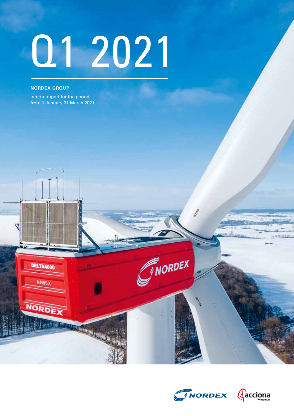# Q1 2021

#### **NORDEX GROUP**

DELTA4000

N149/5.X

**NORDE** 

Interim report for the period from 1 January 31 March 2021



INORDEX

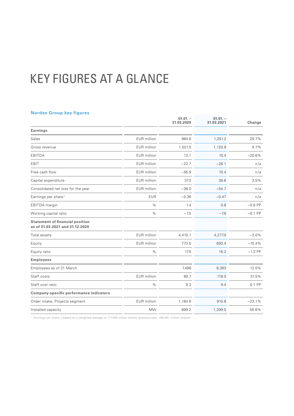# KEY FIGURES AT A GLANCE

#### **Nordex Group key figures**

| 964.6   |         |           |
|---------|---------|-----------|
|         |         |           |
|         | 1,251.2 | 29.7%     |
| 1,021.5 | 1,120.9 | 9.7%      |
| 13.1    | 10.4    | $-20.6%$  |
| $-23.7$ | $-28.1$ | n/a       |
| $-56.9$ | 10.4    | n/a       |
| 37.3    | 38.6    | 3.5%      |
| $-38.0$ | $-54.7$ | n/a       |
| $-0.36$ | $-0.47$ | n/a       |
| 1.4     | 0.8     | $-0.6$ PP |
| $-7.5$  | $-7.6$  | $-0.1$ PP |
|         |         |           |
| 4,410.1 | 4,277.0 | $-3.0%$   |
| 773.5   | 693.4   | $-10.4%$  |
| 17.5    | 16.2    | $-1.3$ PP |
|         |         |           |
| 7,496   | 8,393   | 12.0%     |
| 89.7    | 118.0   | 31.5%     |
| 9.3     | 9.4     | 0.1 PP    |
|         |         |           |
| 1,184.6 | 910.8   | $-23.1%$  |
|         |         |           |
|         |         |           |

<sup>1</sup> Earnings per share = based on a weighted average of 117.349 million shares (previous year: 106.681 million shares)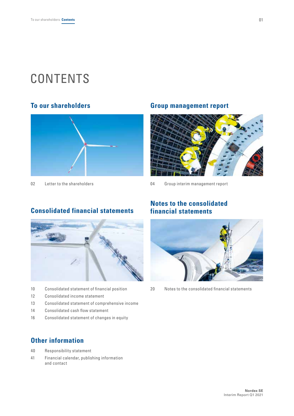# **CONTENTS**



# **To our shareholders Group management report**



02 [Letter to the shareholders](#page-3-0) **120 Constant Constant Constant Constant** Constant Constant Constant Constant Const

# **Consolidated financial statements**



- 10 [Consolidated statement of financial position](#page-11-0)
- 12 [Consolidated income statement](#page-13-0)
- 13 [Consolidated statement of comprehensive income](#page-14-0)
- 14 [Consolidated cash flow statement](#page-15-0)
- 16 [Consolidated statement of changes in equity](#page-17-0)

# **Other information**

- 40 [Responsibility statement](#page-41-0)
- [41 Financial calendar, publishing information](#page-42-0)  [and contact](#page-42-0)

# **Notes to the consolidated financial statements**



20 [Notes to the consolidated financial statements](#page-21-0)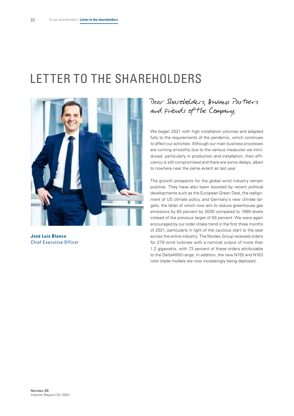# <span id="page-3-0"></span>LETTER TO THE SHAREHOLDERS



**José Luis Blanco** Chief Executive Officer

Dear Shareholders, Business Partners and Friends of the Company,

We began 2021 with high installation volumes and adapted fully to the requirements of the pandemic, which continues to affect our activities. Although our main business processes are running smoothly due to the various measures we introduced, particularly in production and installation, their efficiency is still compromised and there are some delays, albeit to nowhere near the same extent as last year.

The growth prospects for the global wind industry remain positive. They have also been boosted by recent political developments such as the European Green Deal, the realignment of US climate policy, and Germany's new climate targets, the latter of which now aim to reduce greenhouse gas emissions by 65 percent by 2030 compared to 1990 levels instead of the previous target of 55 percent. We were again encouraged by our order intake trend in the first three months of 2021, particularly in light of the cautious start to the year across the entire industry. The Nordex Group received orders for 279 wind turbines with a nominal output of more than 1.2 gigawatts, with 73 percent of these orders attributable to the Delta4000 range. In addition, the new N155 and N163 rotor blade models are now increasingly being deployed.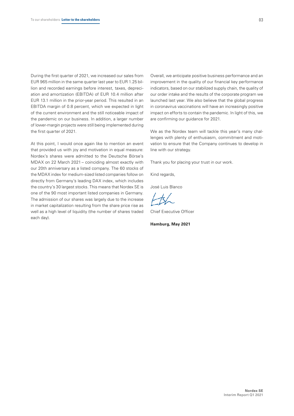During the first quarter of 2021, we increased our sales from EUR 965 million in the same quarter last year to EUR 1.25 billion and recorded earnings before interest, taxes, depreciation and amortization (EBITDA) of EUR 10.4 million after EUR 13.1 million in the prior-year period. This resulted in an EBITDA margin of 0.8 percent, which we expected in light of the current environment and the still noticeable impact of the pandemic on our business. In addition, a larger number of lower-margin projects were still being implemented during the first quarter of 2021.

At this point, I would once again like to mention an event that provided us with joy and motivation in equal measure: Nordex's shares were admitted to the Deutsche Börse's MDAX on 22 March 2021 – coinciding almost exactly with our 20th anniversary as a listed company. The 60 stocks of the MDAX index for medium-sized listed companies follow on directly from Germany's leading DAX index, which includes the country's 30 largest stocks. This means that Nordex SE is one of the 90 most important listed companies in Germany. The admission of our shares was largely due to the increase in market capitalization resulting from the share price rise as well as a high level of liquidity (the number of shares traded each day).

Overall, we anticipate positive business performance and an improvement in the quality of our financial key performance indicators, based on our stabilized supply chain, the quality of our order intake and the results of the corporate program we launched last year. We also believe that the global progress in coronavirus vaccinations will have an increasingly positive impact on efforts to contain the pandemic. In light of this, we are confirming our guidance for 2021.

We as the Nordex team will tackle this year's many challenges with plenty of enthusiasm, commitment and motivation to ensure that the Company continues to develop in line with our strategy.

Thank you for placing your trust in our work.

Kind regards,

José Luis Blanco

Chief Executive Officer

**Hamburg, May 2021**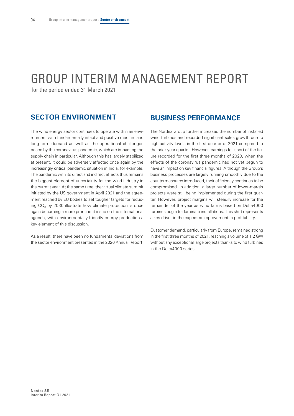# <span id="page-5-0"></span>GROUP INTERIM MANAGEMENT REPORT

for the period ended 31 March 2021

# **SECTOR ENVIRONMENT**

The wind energy sector continues to operate within an environment with fundamentally intact and positive medium and long-term demand as well as the operational challenges posed by the coronavirus pandemic, which are impacting the supply chain in particular. Although this has largely stabilized at present, it could be adversely affected once again by the increasingly critical pandemic situation in India, for example. The pandemic with its direct and indirect effects thus remains the biggest element of uncertainty for the wind industry in the current year. At the same time, the virtual climate summit initiated by the US government in April 2021 and the agreement reached by EU bodies to set tougher targets for reducing  $CO<sub>2</sub>$  by 2030 illustrate how climate protection is once again becoming a more prominent issue on the international agenda, with environmentally-friendly energy production a key element of this discussion.

As a result, there have been no fundamental deviations from the sector environment presented in the 2020 Annual Report.

### **BUSINESS PERFORMANCE**

The Nordex Group further increased the number of installed wind turbines and recorded significant sales growth due to high activity levels in the first quarter of 2021 compared to the prior-year quarter. However, earnings fell short of the figure recorded for the first three months of 2020, when the effects of the coronavirus pandemic had not yet begun to have an impact on key financial figures. Although the Group's business processes are largely running smoothly due to the countermeasures introduced, their efficiency continues to be compromised. In addition, a large number of lower-margin projects were still being implemented during the first quarter. However, project margins will steadily increase for the remainder of the year as wind farms based on Delta4000 turbines begin to dominate installations. This shift represents a key driver in the expected improvement in profitability.

Customer demand, particularly from Europe, remained strong in the first three months of 2021, reaching a volume of 1.2 GW without any exceptional large projects thanks to wind turbines in the Delta4000 series.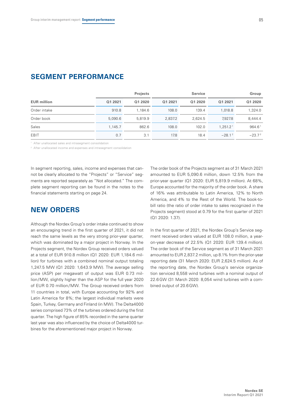|                    |         | <b>Projects</b> |         | <b>Service</b> |                      | Group     |
|--------------------|---------|-----------------|---------|----------------|----------------------|-----------|
| <b>EUR million</b> | Q1 2021 | Q1 2020         | Q1 2021 | Q1 2020        | Q1 2021              | Q1 2020   |
| Order intake       | 910.8   | 1.184.6         | 108.0   | 139.4          | 1.018.8              | 1.324.0   |
| Order book         | 5,090.6 | 5.819.9         | 2.837.2 | 2.624.5        | 7.927.8              | 8.444.4   |
| Sales              | 1.145.7 | 862.6           | 108.0   | 102.0          | 1.251.2 <sup>1</sup> | 964.61    |
| EBIT               | 0.7     | 3.1             | 17.8    | 18.4           | $-28.1^2$            | $-23.7^2$ |

### **SEGMENT PERFORMANCE**

<sup>1</sup> After unallocated sales and intrasegment consolidation

<sup>2</sup> After unallocated income and expenses and intrasegment consolidation

In segment reporting, sales, income and expenses that cannot be clearly allocated to the "Projects" or "Service" segments are reported separately as "Not allocated." The complete segment reporting can be found in the notes to the financial statements starting on page 24.

# **NEW ORDERS**

Although the Nordex Group's order intake continued to show an encouraging trend in the first quarter of 2021, it did not reach the same levels as the very strong prior-year quarter, which was dominated by a major project in Norway. In the Projects segment, the Nordex Group received orders valued at a total of EUR 910.8 million (Q1 2020: EUR 1,184.6 million) for turbines with a combined nominal output totaling 1,247.5 MW (Q1 2020: 1,643.9 MW). The average selling price (ASP) per megawatt of output was EUR 0.73 million/MW, slightly higher than the ASP for the full year 2020 of EUR 0.70 million/MW. The Group received orders from 11 countries in total, with Europe accounting for 92% and Latin America for 8%; the largest individual markets were Spain, Turkey, Germany and Finland (in MW). The Delta4000 series comprised 73% of the turbines ordered during the first quarter. The high figure of 85% recorded in the same quarter last year was also influenced by the choice of Delta4000 turbines for the aforementioned major project in Norway.

The order book of the Projects segment as of 31 March 2021 amounted to EUR 5,090.6 million, down 12.5% from the prior-year quarter (Q1 2020: EUR 5,819.9 million). At 68%, Europe accounted for the majority of the order book. A share of 16% was attributable to Latin America, 12% to North America, and 4% to the Rest of the World. The book-tobill ratio (the ratio of order intake to sales recognized in the Projects segment) stood at 0.79 for the first quarter of 2021 (Q1 2020: 1.37).

In the first quarter of 2021, the Nordex Group's Service segment received orders valued at EUR 108.0 million, a yearon-year decrease of 22.5% (Q1 2020: EUR 139.4 million). The order book of the Service segment as of 31 March 2021 amounted to EUR 2,837.2 million, up 8.1% from the prior-year reporting date (31 March 2020: EUR 2,624.5 million). As of the reporting date, the Nordex Group's service organization serviced 8,558 wind turbines with a nominal output of 22.6 GW (31 March 2020: 8,054 wind turbines with a combined output of 20.6GW).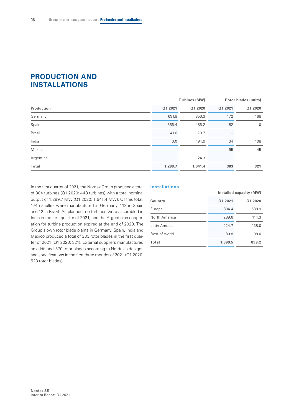# **PRODUCTION AND INSTALLATIONS**

| Q1 2020        |
|----------------|
| 168            |
| $\overline{0}$ |
|                |
| 108            |
| 45             |
|                |
| 321            |
|                |

In the first quarter of 2021, the Nordex Group produced a total of 304 turbines (Q1 2020: 448 turbines) with a total nominal output of 1,299.7 MW (Q1 2020: 1,641.4 MW). Of this total, 174 nacelles were manufactured in Germany, 118 in Spain and 12 in Brazil. As planned, no turbines were assembled in India in the first quarter of 2021, and the Argentinian cooperation for turbine production expired at the end of 2020. The Group's own rotor blade plants in Germany, Spain, India and Mexico produced a total of 383 rotor blades in the first quarter of 2021 (Q1 2020: 321). External suppliers manufactured an additional 570 rotor blades according to Nordex's designs and specifications in the first three months of 2021 (Q1 2020: 528 rotor blades).

#### **Installations**

|               | Installed capacity (MW) |         |  |
|---------------|-------------------------|---------|--|
| Country       | Q1 2021                 | Q1 2020 |  |
| Europe        | 804.4                   | 538.9   |  |
| North America | 289.6                   | 114.3   |  |
| Latin America | 224.7                   | 138.0   |  |
| Rest of world | 80.8                    | 108.0   |  |
| <b>Total</b>  | 1,399.5                 | 899.2   |  |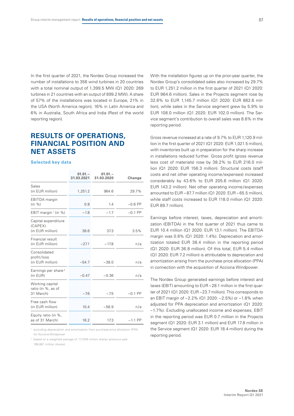In the first quarter of 2021, the Nordex Group increased the number of installations to 356 wind turbines in 20 countries with a total nominal output of 1,399.5 MW (Q1 2020: 269 turbines in 21 countries with an output of 899.2 MW). A share of 57% of the installations was located in Europe, 21% in the USA (North America region), 16% in Latin America and 6% in Australia, South Africa and India (Rest of the world reporting region).

# **RESULTS OF OPERATIONS, FINANCIAL POSITION AND NET ASSETS**

#### **Selected key data**

|                                                    | $01.01 -$<br>31.03.2021 | $01.01 -$<br>31.03.2020 | Change    |
|----------------------------------------------------|-------------------------|-------------------------|-----------|
| Sales<br>(in EUR million)                          | 1,251.2                 | 964.6                   | 29.7%     |
| <b>EBITDA</b> margin<br>(in %)                     | 0.8                     | 1.4                     | $-0.6$ PP |
| EBIT margin <sup>1</sup> (in %)                    | $-1.8$                  | $-1.7$                  | $-0.1$ PP |
| Capital expenditure<br>(CAPEX)<br>(in EUR million) | 38.6                    | 37.3                    | 3.5%      |
| Financial result<br>(in EUR million)               | $-27.1$                 | $-17.8$                 | n/a       |
| Consolidated<br>profit/loss<br>(in EUR million)    | $-54.7$                 | $-38.0$                 | n/a       |
| Earnings per share <sup>2</sup><br>(in EUR)        | $-0.47$                 | $-0.36$                 | n/a       |
| Working capital<br>ratio (in %, as of<br>31 March) | $-7.6$                  | $-7.5$                  | $-0.1$ PP |
| Free cash flow<br>(in EUR million)                 | 10.4                    | $-56.9$                 | n/a       |
| Equity ratio (in %,<br>as of 31 March)             | 16.2                    | 17.3                    | $-1.1$ PP |

1 excluding depreciation and amortization from purchase price allocation (PPA) for Acciona Windpower

2 based on a weighted average of 117.349 million shares (previous year: 106.681 million shares)

With the installation figures up on the prior-year quarter, the Nordex Group's consolidated sales also increased by 29.7% to EUR 1,251.2 million in the first quarter of 2021 (Q1 2020: EUR 964.6 million). Sales in the Projects segment rose by 32.8% to EUR 1,145.7 million (Q1 2020: EUR 862.6 million), while sales in the Service segment grew by 5.9% to EUR 108.0 million (Q1 2020: EUR 102.0 million). The Service segment's contribution to overall sales was 8.6% in the reporting period.

Gross revenue increased at a rate of 9.7% to EUR 1,120.9 million in the first quarter of 2021 (Q1 2020: EUR 1,021.5 million), with inventories built up in preparation for the sharp increase in installations reduced further. Gross profit (gross revenue less cost of materials) rose by 38.2% to EUR 216.0 million (Q1 2020: EUR 156.3 million). Structural costs (staff costs and net other operating income/expenses) increased considerably by 43.6% to EUR 205.6 million (Q1 2020: EUR 143.2 million). Net other operating income/expenses amounted to  $FUR - 87.7$  million ( $O1.2020$ :  $FUR - 65.5$  million) while staff costs increased to EUR 118.0 million (Q1 2020: EUR 89.7 million).

Earnings before interest, taxes, depreciation and amortization (EBITDA) in the first quarter of 2021 thus came to EUR 10.4 million (Q1 2020: EUR 13.1 million). The EBITDA margin was 0.8% (Q1 2020: 1.4%). Depreciation and amortization totaled EUR 38.4 million in the reporting period (Q1 2020: EUR 36.8 million). Of this total, EUR 5.4 million (Q1 2020: EUR 7.2 million) is attributable to depreciation and amortization arising from the purchase price allocation (PPA) in connection with the acquisition of Acciona Windpower.

The Nordex Group generated earnings before interest and taxes (EBIT) amounting to EUR –28.1 million in the first quarter of 2021 (Q1 2020: EUR –23.7 million). This corresponds to an EBIT margin of –2.2% (Q1 2020: –2.5%) or –1.8% when adjusted for PPA depreciation and amortization (Q1 2020: –1.7%). Excluding unallocated income and expenses, EBIT in the reporting period was EUR 0.7 million in the Projects segment (Q1 2020: EUR 3.1 million) and EUR 17.8 million in the Service segment (Q1 2020: EUR 18.4 million) during the reporting period.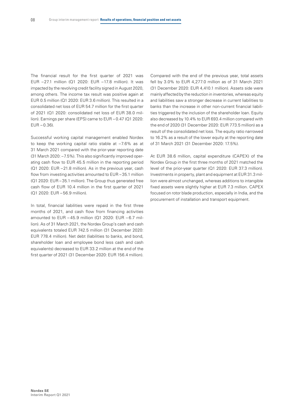The financial result for the first quarter of 2021 was EUR –27.1 million (Q1 2020: EUR –17.8 million). It was impacted by the revolving credit facility signed in August 2020, among others. The income tax result was positive again at EUR 0.5 million (Q1 2020: EUR 3.6 million). This resulted in a consolidated net loss of EUR 54.7 million for the first quarter of 2021 (Q1 2020: consolidated net loss of EUR 38.0 million). Earnings per share (EPS) came to EUR – 0.47 (Q1 2020:  $EUR - 0.36$ ).

Successful working capital management enabled Nordex to keep the working capital ratio stable at –7.6% as at 31 March 2021 compared with the prior-year reporting date (31 March 2020: –7.5%). This also significantly improved operating cash flow to EUR 45.5 million in the reporting period (Q1 2020: EUR –21.8 million). As in the previous year, cash flow from investing activities amounted to EUR – 35.1 million (Q1 2020: EUR – 35.1 million). The Group thus generated free cash flow of EUR 10.4 million in the first quarter of 2021 (Q1 2020: EUR – 56.9 million).

In total, financial liabilities were repaid in the first three months of 2021, and cash flow from financing activities amounted to EUR – 45.9 million (Q1 2020: EUR – 6.7 million). As of 31 March 2021, the Nordex Group's cash and cash equivalents totaled EUR 742.5 million (31 December 2020: EUR 778.4 million). Net debt (liabilities to banks, and bond, shareholder loan and employee bond less cash and cash equivalents) decreased to EUR 33.2 million at the end of the first quarter of 2021 (31 December 2020: EUR 156.4 million).

Compared with the end of the previous year, total assets fell by 3.0% to EUR 4,277.0 million as of 31 March 2021 (31 December 2020: EUR 4,410.1 million). Assets side were mainly affected by the reduction in inventories, whereas equity and liabilities saw a stronger decrease in current liabilities to banks than the increase in other non-current financial liabilities triggered by the inclusion of the shareholder loan. Equity also decreased by 10.4% to EUR 693.4 million compared with the end of 2020 (31 December 2020: EUR 773.5 million) as a result of the consolidated net loss. The equity ratio narrowed to 16.2% as a result of the lower equity at the reporting date of 31 March 2021 (31 December 2020: 17.5%).

At EUR 38.6 million, capital expenditure (CAPEX) of the Nordex Group in the first three months of 2021 matched the level of the prior-year quarter (Q1 2020: EUR 37.3 million). Investments in property, plant and equipment at EUR 31.3 million were almost unchanged, whereas additions to intangible fixed assets were slightly higher at EUR 7.3 million. CAPEX focused on rotor blade production, especially in India, and the procurement of installation and transport equipment.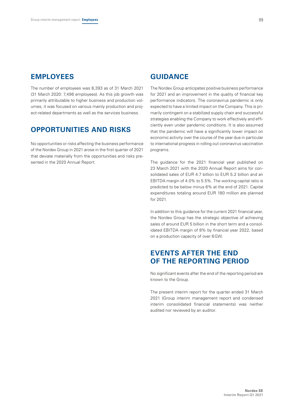### **EMPLOYEES**

The number of employees was 8,393 as of 31 March 2021 (31 March 2020: 7,496 employees). As this job growth was primarily attributable to higher business and production volumes, it was focused on various mainly production and project-related departments as well as the services business.

### **OPPORTUNITIES AND RISKS**

No opportunities or risks affecting the business performance of the Nordex Group in 2021 arose in the first quarter of 2021 that deviate materially from the opportunities and risks presented in the 2020 Annual Report.

### **GUIDANCE**

The Nordex Group anticipates positive business performance for 2021 and an improvement in the quality of financial key performance indicators. The coronavirus pandemic is only expected to have a limited impact on the Company. This is primarily contingent on a stabilized supply chain and successful strategies enabling the Company to work effectively and efficiently even under pandemic conditions. It is also assumed that the pandemic will have a significantly lower impact on economic activity over the course of the year due in particular to international progress in rolling out coronavirus vaccination programs.

The guidance for the 2021 financial year published on 23 March 2021 with the 2020 Annual Report aims for consolidated sales of EUR 4.7 billion to EUR 5.2 billion and an EBITDA margin of 4.0% to 5.5%. The working capital ratio is predicted to be below minus 6% at the end of 2021. Capital expenditures totaling around EUR 180 million are planned for 2021.

In addition to this guidance for the current 2021 financial year, the Nordex Group has the strategic objective of achieving sales of around EUR 5 billion in the short term and a consolidated EBITDA margin of 8% by financial year 2022, based on a production capacity of over 6GW.

# **EVENTS AFTER THE END OF THE REPORTING PERIOD**

No significant events after the end of the reporting period are known to the Group.

The present interim report for the quarter ended 31 March 2021 (Group interim management report and condensed interim consolidated financial statements) was neither audited nor reviewed by an auditor.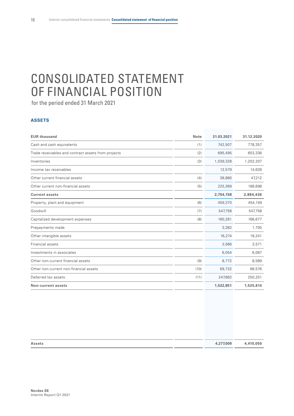# <span id="page-11-0"></span>CONSOLIDATED STATEMENT OF FINANCIAL POSITION

for the period ended 31 March 2021

#### **ASSETS**

| <b>EUR thousand</b>                                 | <b>Note</b> | 31.03.2021 | 31.12.2020 |
|-----------------------------------------------------|-------------|------------|------------|
| Cash and cash equivalents                           | (1)         | 742,507    | 778,357    |
| Trade receivables and contract assets from projects | (2)         | 695,495    | 653,336    |
| Inventories                                         | (3)         | 1,039,328  | 1,202,207  |
| Income tax receivables                              |             | 12,579     | 14,626     |
| Other current financial assets                      | (4)         | 38,880     | 47,212     |
| Other current non-financial assets                  | (5)         | 225,369    | 188,698    |
| <b>Current assets</b>                               |             | 2,754,158  | 2,884,436  |
| Property, plant and equipment                       | (6)         | 459,370    | 454,159    |
| Goodwill                                            | (7)         | 547,758    | 547,758    |
| Capitalized development expenses                    | (8)         | 160,281    | 166,677    |
| Prepayments made                                    |             | 3,382      | 1,705      |
| Other intangible assets                             |             | 16,274     | 18,241     |
| Financial assets                                    |             | 3,566      | 3,571      |
| Investments in associates                           |             | 6,054      | 6,087      |
| Other non-current financial assets                  | (9)         | 8,772      | 8,589      |
| Other non-current non-financial assets              | (10)        | 69,732     | 68,576     |
| Deferred tax assets                                 | (11)        | 247,662    | 250,251    |
| <b>Non-current assets</b>                           |             | 1,522,851  | 1,525,614  |

| <b>Assets</b> | 4,277,009 | 4,410,050 |
|---------------|-----------|-----------|
|               |           |           |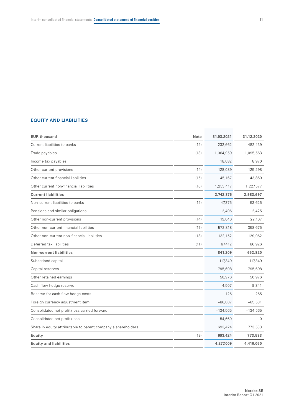### **EQUITY AND LIABILITIES**

| <b>EUR thousand</b>                                           | <b>Note</b> | 31.03.2021 | 31.12.2020 |
|---------------------------------------------------------------|-------------|------------|------------|
| Current liabilities to banks                                  | (12)        | 232,662    | 482,439    |
| Trade payables                                                | (13)        | 1,064,959  | 1,095,563  |
| Income tax payables                                           |             | 18,082     | 8,970      |
| Other current provisions                                      | (14)        | 128,089    | 125,298    |
| Other current financial liabilities                           | (15)        | 45,167     | 43,850     |
| Other current non-financial liabilities                       | (16)        | 1,253,417  | 1,227,577  |
| <b>Current liabilities</b>                                    |             | 2,742,376  | 2,983,697  |
| Non-current liabilities to banks                              | (12)        | 47,375     | 53,625     |
| Pensions and similar obligations                              |             | 2,406      | 2,425      |
| Other non-current provisions                                  | (14)        | 19,046     | 22,107     |
| Other non-current financial liabilities                       | (17)        | 572,818    | 358,675    |
| Other non-current non-financial liabilities                   | (18)        | 132,152    | 129,062    |
| Deferred tax liabilities                                      | (11)        | 67,412     | 86,926     |
| <b>Non-current liabilities</b>                                |             | 841,209    | 652,820    |
| Subscribed capital                                            |             | 117,349    | 117,349    |
| Capital reserves                                              |             | 795,698    | 795,698    |
| Other retained earnings                                       |             | 50,976     | 50,976     |
| Cash flow hedge reserve                                       |             | 4,507      | 9,341      |
| Reserve for cash flow hedge costs                             |             | 126        | 265        |
| Foreign currency adjustment item                              |             | $-86,007$  | $-65,531$  |
| Consolidated net profit/loss carried forward                  |             | $-134,565$ | $-134,565$ |
| Consolidated net profit/loss                                  |             | $-54,660$  | $\Omega$   |
| Share in equity attributable to parent company's shareholders |             | 693,424    | 773,533    |
| Equity                                                        | (19)        | 693,424    | 773,533    |
| <b>Equity and liabilities</b>                                 |             | 4,277,009  | 4,410,050  |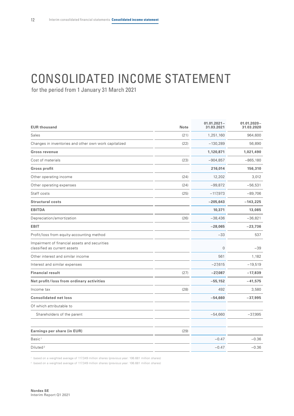# <span id="page-13-0"></span>CONSOLIDATED INCOME STATEMENT

for the period from 1 January 31 March 2021

| <b>EUR thousand</b>                                                           | Note | $01.01.2021 -$<br>31.03.2021 | $01.01.2020 -$<br>31.03.2020 |
|-------------------------------------------------------------------------------|------|------------------------------|------------------------------|
| Sales                                                                         | (21) | 1,251,160                    | 964,600                      |
| Changes in inventories and other own work capitalized                         | (22) | $-130,289$                   | 56,890                       |
| Gross revenue                                                                 |      | 1,120,871                    | 1,021,490                    |
| Cost of materials                                                             | (23) | $-904,857$                   | $-865,180$                   |
| <b>Gross profit</b>                                                           |      | 216,014                      | 156,310                      |
| Other operating income                                                        | (24) | 12,202                       | 3,012                        |
| Other operating expenses                                                      | (24) | $-99,872$                    | $-56,531$                    |
| Staff costs                                                                   | (25) | $-117,973$                   | $-89,706$                    |
| <b>Structural costs</b>                                                       |      | $-205,643$                   | $-143,225$                   |
| <b>EBITDA</b>                                                                 |      | 10,371                       | 13,085                       |
| Depreciation/amortization                                                     | (26) | $-38,436$                    | $-36,821$                    |
| <b>EBIT</b>                                                                   |      | $-28,065$                    | $-23,736$                    |
| Profit/loss from equity-accounting method                                     |      | $-33$                        | 537                          |
| Impairment of financial assets and securities<br>classified as current assets |      | $\mathbf 0$                  | $-39$                        |
| Other interest and similar income                                             |      | 561                          | 1,182                        |
| Interest and similar expenses                                                 |      | $-27,615$                    | $-19,519$                    |
| <b>Financial result</b>                                                       | (27) | $-27,087$                    | $-17,839$                    |
| Net profit/loss from ordinary activities                                      |      | $-55,152$                    | $-41,575$                    |
| Income tax                                                                    | (28) | 492                          | 3,580                        |
| <b>Consolidated net loss</b>                                                  |      | $-54,660$                    | $-37,995$                    |
| Of which attributable to                                                      |      |                              |                              |
| Shareholders of the parent                                                    |      | $-54,660$                    | $-37,995$                    |
| Earnings per share (in EUR)                                                   | (29) |                              |                              |
| Basic <sup>1</sup>                                                            |      | $-0.47$                      | $-0.36$                      |
| Diluted <sup>2</sup>                                                          |      | $-0.47$                      | $-0.36$                      |

<sup>1</sup> based on a weighted average of 117.349 million shares (previous year: 106.681 million shares)

<sup>2</sup> based on a weighted average of 117.349 million shares (previous year: 106.681 million shares)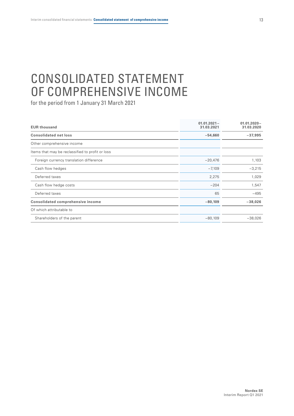# <span id="page-14-0"></span>CONSOLIDATED STATEMENT OF COMPREHENSIVE INCOME

| <b>EUR thousand</b>                              | $01.01.2021 -$<br>31.03.2021 | $01.01.2020 -$<br>31.03.2020 |
|--------------------------------------------------|------------------------------|------------------------------|
| <b>Consolidated net loss</b>                     | $-54,660$                    | $-37,995$                    |
| Other comprehensive income                       |                              |                              |
| Items that may be reclassified to profit or loss |                              |                              |
| Foreign currency translation difference          | $-20,476$                    | 1,103                        |
| Cash flow hedges                                 | $-7,109$                     | $-3,215$                     |
| Deferred taxes                                   | 2,275                        | 1,029                        |
| Cash flow hedge costs                            | $-204$                       | 1,547                        |
| Deferred taxes                                   | 65                           | $-495$                       |
| <b>Consolidated comprehensive income</b>         | $-80,109$                    | $-38,026$                    |
| Of which attributable to                         |                              |                              |
| Shareholders of the parent                       | $-80,109$                    | $-38,026$                    |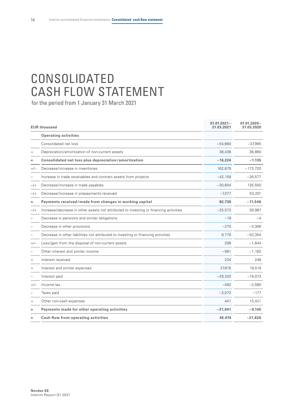# <span id="page-15-0"></span>CONSOLIDATED CASH FLOW STATEMENT

|        | <b>EUR thousand</b>                                                                   | $01.01.2021 -$<br>31.03.2021 | $01.01.2020 -$<br>31.03.2020 |
|--------|---------------------------------------------------------------------------------------|------------------------------|------------------------------|
|        | <b>Operating activities</b>                                                           |                              |                              |
|        | Consolidated net loss                                                                 | $-54,660$                    | $-37,995$                    |
| $^{+}$ | Depreciation/amortization of non-current assets                                       | 38,436                       | 36,860                       |
|        | Consolidated net loss plus depreciation/amortization                                  | $-16,224$                    | $-1,135$                     |
| $+/-$  | Decrease/increase in inventories                                                      | 162,879                      | $-173,720$                   |
|        | Increase in trade receivables and contract assets from projects                       | $-42,159$                    | $-26,577$                    |
| $-/+$  | Decrease/increase in trade payables                                                   | $-30,604$                    | 135,550                      |
| $-/+$  | Decrease/increase in prepayments received                                             | $-7,377$                     | 53,201                       |
| Ξ      | Payments received/made from changes in working capital                                | 82,739                       | $-11,546$                    |
| $-$ /+ | Increase/decrease in other assets not attributed to investing or financing activities | $-25,573$                    | 39,987                       |
|        | Decrease in pensions and similar obligations                                          | $-19$                        | $-4$                         |
|        | Decrease in other provisions                                                          | $-270$                       | $-3,306$                     |
|        | Decrease in other liabilities not attributed to investing or financing activities     | 9,770                        | $-53,354$                    |
| $+/-$  | Loss/gain from the disposal of non-current assets                                     | 206                          | $-1,644$                     |
|        | Other interest and similar income                                                     | $-561$                       | $-1,182$                     |
| $^{+}$ | Interest received                                                                     | 234                          | 248                          |
|        | Interest and similar expenses                                                         | 27.615                       | 19,519                       |
|        | Interest paid                                                                         | $-29,320$                    | $-19,073$                    |
| $+/-$  | Income tax                                                                            | $-492$                       | $-3,580$                     |
|        | Taxes paid                                                                            | $-3,072$                     | $-177$                       |
| $^{+}$ | Other non-cash expenses                                                               | 441                          | 13,421                       |
| $=$    | Payments made for other operating activities                                          | $-21,041$                    | $-9,145$                     |
| $=$    | Cash flow from operating activities                                                   | 45.474                       | $-21,826$                    |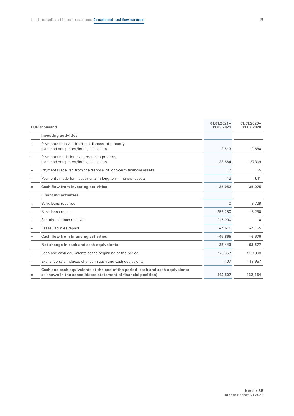|           | <b>EUR thousand</b>                                                                                                                            |             | $01.01.2020 -$<br>31.03.2020 |
|-----------|------------------------------------------------------------------------------------------------------------------------------------------------|-------------|------------------------------|
|           | <b>Investing activities</b>                                                                                                                    |             |                              |
| $+$       | Payments received from the disposal of property,<br>plant and equipment/intangible assets                                                      | 3,543       | 2,680                        |
|           | Payments made for investments in property,<br>plant and equipment/intangible assets                                                            | $-38,564$   | $-37,309$                    |
| $\ddot{}$ | Payments received from the disposal of long-term financial assets                                                                              | 12          | 65                           |
|           | Payments made for investments in long-term financial assets                                                                                    | $-43$       | $-511$                       |
| $=$       | Cash flow from investing activities                                                                                                            | $-35,052$   | $-35,075$                    |
|           | <b>Financing activities</b>                                                                                                                    |             |                              |
| $^{+}$    | Bank loans received                                                                                                                            | $\mathbf 0$ | 3,739                        |
|           | Bank loans repaid                                                                                                                              | $-256,250$  | $-6,250$                     |
| $\ddot{}$ | Shareholder Joan received                                                                                                                      | 215,000     | $\Omega$                     |
|           | Lease liabilities repaid                                                                                                                       | $-4.615$    | $-4,165$                     |
| $=$       | Cash flow from financing activities                                                                                                            | $-45.865$   | $-6,676$                     |
|           | Net change in cash and cash equivalents                                                                                                        | $-35,443$   | $-63,577$                    |
| $\ddot{}$ | Cash and cash equivalents at the beginning of the period                                                                                       | 778,357     | 509,998                      |
|           | Exchange rate-induced change in cash and cash equivalents                                                                                      | $-407$      | $-13,957$                    |
| =         | Cash and cash equivalents at the end of the period (cash and cash equivalents<br>as shown in the consolidated statement of financial position) | 742,507     | 432,464                      |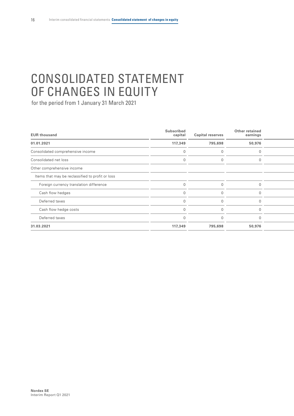# <span id="page-17-0"></span>CONSOLIDATED STATEMENT OF CHANGES IN EQUITY

| <b>EUR thousand</b>                              | <b>Subscribed</b><br>capital | <b>Capital reserves</b> | Other retained<br>earnings |  |
|--------------------------------------------------|------------------------------|-------------------------|----------------------------|--|
| 01.01.2021                                       | 117,349                      | 795,698                 | 50,976                     |  |
| Consolidated comprehensive income                |                              |                         |                            |  |
| Consolidated net loss                            |                              |                         |                            |  |
| Other comprehensive income                       |                              |                         |                            |  |
| Items that may be reclassified to profit or loss |                              |                         |                            |  |
| Foreign currency translation difference          |                              |                         |                            |  |
| Cash flow hedges                                 |                              |                         |                            |  |
| Deferred taxes                                   |                              |                         |                            |  |
| Cash flow hedge costs                            |                              |                         |                            |  |
| Deferred taxes                                   |                              |                         |                            |  |
| 31.03.2021                                       | 117,349                      | 795,698                 | 50,976                     |  |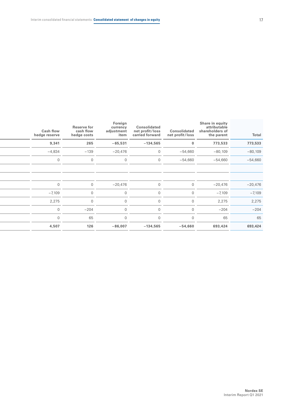| Total     | Share in equity<br>attributable<br>shareholders of<br>the parent | Consolidated<br>net profit/loss | Consolidated<br>net profit/loss<br>carried forward | Foreign<br>currency<br>adjustment<br>item | <b>Reserve for</b><br>cash flow<br>hedge costs | <b>Cash flow</b><br>hedge reserve |
|-----------|------------------------------------------------------------------|---------------------------------|----------------------------------------------------|-------------------------------------------|------------------------------------------------|-----------------------------------|
| 773,533   | 773,533                                                          | $\mathbf{0}$                    | $-134,565$                                         | $-65,531$                                 | 265                                            | 9,341                             |
| $-80,109$ | $-80,109$                                                        | $-54,660$                       | $\overline{0}$                                     | $-20,476$                                 | $-139$                                         | $-4,834$                          |
| $-54,660$ | $-54,660$                                                        | $-54,660$                       | $\overline{0}$                                     | $\overline{0}$                            | $\cap$                                         | $\Omega$                          |
|           |                                                                  |                                 |                                                    |                                           |                                                |                                   |
|           |                                                                  |                                 |                                                    |                                           |                                                |                                   |
| $-20,476$ | $-20,476$                                                        | $\Omega$                        | $\overline{0}$                                     | $-20,476$                                 | $\overline{0}$                                 | $\overline{0}$                    |
| $-7,109$  | $-7,109$                                                         |                                 | $\overline{0}$                                     | $\overline{0}$                            |                                                | $-7,109$                          |
| 2,275     | 2,275                                                            |                                 | $\overline{0}$                                     | $\overline{0}$                            |                                                | 2,275                             |
| $-204$    | $-204$                                                           |                                 | $\overline{0}$                                     | $\Omega$                                  | $-204$                                         | $\Omega$                          |
| 65        | 65                                                               |                                 | $\overline{0}$                                     | $\Omega$                                  | 65                                             | $\Omega$                          |
| 693,424   | 693,424                                                          | $-54,660$                       | $-134,565$                                         | $-86,007$                                 | 126                                            | 4,507                             |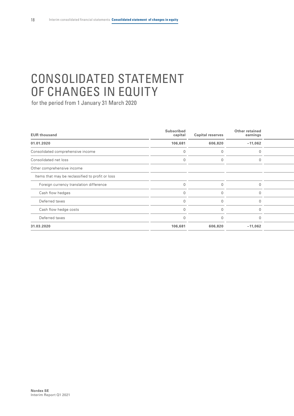# CONSOLIDATED STATEMENT OF CHANGES IN EQUITY

| <b>EUR thousand</b>                              | <b>Subscribed</b><br>capital | <b>Capital reserves</b> | Other retained<br>earnings |  |
|--------------------------------------------------|------------------------------|-------------------------|----------------------------|--|
| 01.01.2020                                       | 106,681                      | 606,820                 | $-11,062$                  |  |
| Consolidated comprehensive income                |                              |                         |                            |  |
| Consolidated net loss                            |                              |                         |                            |  |
| Other comprehensive income                       |                              |                         |                            |  |
| Items that may be reclassified to profit or loss |                              |                         |                            |  |
| Foreign currency translation difference          |                              |                         |                            |  |
| Cash flow hedges                                 |                              |                         |                            |  |
| Deferred taxes                                   |                              |                         |                            |  |
| Cash flow hedge costs                            |                              |                         |                            |  |
| Deferred taxes                                   |                              |                         |                            |  |
| 31.03.2020                                       | 106,681                      | 606,820                 | $-11,062$                  |  |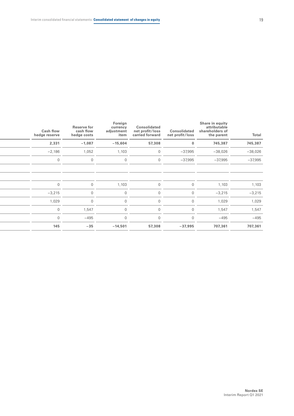| Total     | Share in equity<br>attributable<br>shareholders of<br>the parent | Consolidated<br>net profit/loss | Consolidated<br>net profit/loss<br>carried forward | Foreign<br>currency<br>adjustment<br>item | <b>Reserve for</b><br>cash flow<br>hedge costs | <b>Cash flow</b><br>hedge reserve |
|-----------|------------------------------------------------------------------|---------------------------------|----------------------------------------------------|-------------------------------------------|------------------------------------------------|-----------------------------------|
| 745,387   | 745,387                                                          | $\mathbf{0}$                    | 57,308                                             | $-15,604$                                 | $-1,087$                                       | 2,331                             |
| $-38,026$ | $-38,026$                                                        | $-37,995$                       | $\mathbf 0$                                        | 1,103                                     | 1,052                                          | $-2,186$                          |
| $-37,995$ | $-37,995$                                                        | $-37,995$                       | $\overline{0}$                                     | $\overline{0}$                            | $\Omega$                                       | $\cap$                            |
|           |                                                                  |                                 |                                                    |                                           |                                                |                                   |
|           |                                                                  |                                 |                                                    |                                           |                                                |                                   |
| 1,103     | 1,103                                                            | $\overline{0}$                  | $\overline{0}$                                     | 1,103                                     | $\overline{0}$                                 | $\Omega$                          |
| $-3,215$  | $-3,215$                                                         | $\Omega$                        | $\Omega$                                           | $\overline{0}$                            | $\Omega$                                       | $-3,215$                          |
| 1,029     | 1,029                                                            | $\Omega$                        | $\Omega$                                           | $\overline{0}$                            | $\cap$                                         | 1,029                             |
| 1,547     | 1,547                                                            | $\cap$                          |                                                    | $\Omega$                                  | 1,547                                          | $\cap$                            |
| $-495$    | $-495$                                                           | $\cap$                          | 0                                                  | $\overline{0}$                            | $-495$                                         | $\Omega$                          |
| 707,361   | 707,361                                                          | $-37,995$                       | 57,308                                             | $-14,501$                                 | $-35$                                          | 145                               |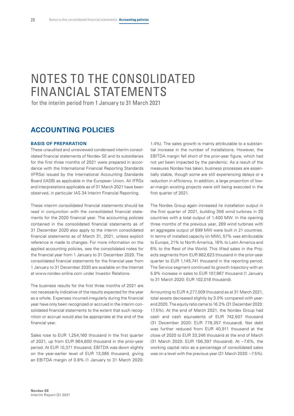# <span id="page-21-0"></span>NOTES TO THE CONSOLIDATED FINANCIAL STATEMENTS

for the interim period from 1 January to 31 March 2021

## **ACCOUNTING POLICIES**

#### **BASIS OF PREPARATION**

These unaudited and unreviewed condensed interim consolidated financial statements of Nordex SE and its subsidiaries for the first three months of 2021 were prepared in accordance with the International Financial Reporting Standards (IFRSs) issued by the International Accounting Standards Board (IASB) as applicable in the European Union. All IFRSs and interpretations applicable as of 31 March 2021 have been observed, in particular IAS 34 Interim Financial Reporting.

These interim consolidated financial statements should be read in conjunction with the consolidated financial statements for the 2020 financial year. The accounting policies contained in the consolidated financial statements as of 31 December 2020 also apply to the interim consolidated financial statements as of March 31, 2021, unless explicit reference is made to changes. For more information on the applied accounting policies, see the consolidated notes for the financial year from 1 January to 31 December 2020. The consolidated financial statements for the financial year from 1 January to 31 December 2020 are available on the Internet at www.nordex-online.com under Investor Relations.

The business results for the first three months of 2021 are not necessarily indicative of the results expected for the year as a whole. Expenses incurred irregularly during the financial year have only been recognized or accrued in the interim consolidated financial statements to the extent that such recognition or accrual would also be appropriate at the end of the financial year.

Sales rose to EUR 1,254,160 thousand in the first quarter of 2021, up from EUR 964,600 thousand in the prior-year period. At EUR 10,371 thousand, EBITDA was down slightly on the year-earlier level of EUR 13,085 thousand, giving an EBITDA margin of 0.8% (1 January to 31 March 2020:

1.4%). The sales growth is mainly attributable to a substantial increase in the number of installations. However, the EBITDA margin fell short of the prior-year figure, which had not yet been impacted by the pandemic. As a result of the measures Nordex has taken, business processes are essentially stable, though some are still experiencing delays or a reduction in efficiency. In addition, a large proportion of lower-margin existing projects were still being executed in the first quarter of 2021.

The Nordex Group again increased its installation output in the first quarter of 2021, building 356 wind turbines in 20 countries with a total output of 1,400 MW. In the opening three months of the previous year, 269 wind turbines with an aggregate output of 899 MW were built in 21 countries. In terms of installed capacity (in MW), 57% was attributable to Europe, 21% to North America, 16% to Latin America and 6% to the Rest of the World. This lifted sales in the Projects segments from EUR 862,623 thousand in the prior-year quarter to EUR 1,145,741 thousand in the reporting period. The Service segment continued its growth trajectory with an 5.9% increase in sales to EUR 107,967 thousand (1 January to 31 March 2020: EUR 102,018 thousand).

Amounting to EUR 4,277,009 thousand as at 31 March 2021, total assets decreased slightly by 3.0% compared with yearend 2020. The equity ratio came to 16.2% (31 December 2020: 17.5%). At the end of March 2021, the Nordex Group had cash and cash equivalents of EUR 742,507 thousand (31 December 2020: EUR 778,357 thousand). Net debt was further reduced from EUR 40,911 thousand at the close of 2020 to EUR 33,246 thousand at the end of March (31 March 2020: EUR 156,397 thousand). At –7.6%, the working capital ratio as a percentage of consolidated sales was on a level with the previous year (31 March 2020: –7.5%).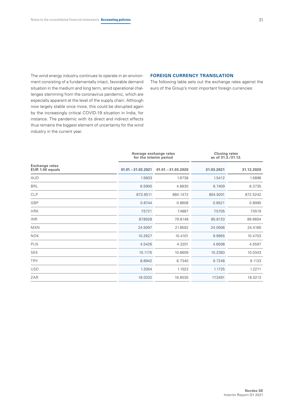The wind energy industry continues to operate in an environment consisting of a fundamentally intact, favorable demand situation in the medium and long term, amid operational challenges stemming from the coronavirus pandemic, which are especially apparent at the level of the supply chain. Although now largely stable once more, this could be disrupted again by the increasingly critical COVID-19 situation in India, for instance. The pandemic with its direct and indirect effects thus remains the biggest element of uncertainty for the wind industry in the current year.

#### **FOREIGN CURRENCY TRANSLATION**

The following table sets out the exchange rates against the euro of the Group's most important foreign currencies:

|                                          | Average exchange rates<br>for the interim period |                      | <b>Closing rates</b><br>as of 31.3./31.12. |            |  |
|------------------------------------------|--------------------------------------------------|----------------------|--------------------------------------------|------------|--|
| <b>Exchange rates</b><br>EUR 1.00 equals | $01.01 - 31.03.2021$                             | $01.01 - 31.03.2020$ | 31.03.2021                                 | 31.12.2020 |  |
| <b>AUD</b>                               | 1.5603                                           | 1.6738               | 1.5412                                     | 1.5896     |  |
| <b>BRL</b>                               | 6.5900                                           | 4.8830               | 6.7409                                     | 6.3735     |  |
| <b>CLP</b>                               | 872.6511                                         | 884.1472             | 854.9201                                   | 872.5242   |  |
| GBP                                      | 0.8744                                           | 0.8608               | 0.8521                                     | 0.8990     |  |
| <b>HRK</b>                               | 7.5721                                           | 7.4887               | 7.5705                                     | 7.5519     |  |
| <b>INR</b>                               | 87.8928                                          | 79.8148              | 85.8133                                    | 89.6604    |  |
| <b>MXN</b>                               | 24.5097                                          | 21.8592              | 24.0506                                    | 24.4160    |  |
| <b>NOK</b>                               | 10.2627                                          | 10.4101              | 9.9955                                     | 10.4703    |  |
| <b>PLN</b>                               | 4.5426                                           | 4.3201               | 4.6508                                     | 4.5597     |  |
| <b>SEK</b>                               | 10.1175                                          | 10.6609              | 10.2383                                    | 10.0343    |  |
| <b>TRY</b>                               | 8.8942                                           | 6.7340               | 9.7248                                     | 9.1133     |  |
| <b>USD</b>                               | 1.2054                                           | 1.1023               | 1.1725                                     | 1.2271     |  |
| ZAR                                      | 18.0332                                          | 16.8530              | 17.3491                                    | 18.0213    |  |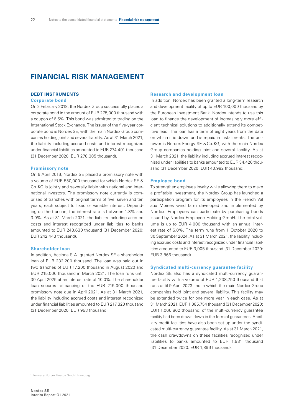# **FINANCIAL RISK MANAGEMENT**

#### **DEBT INSTRUMENTS**

#### **Corporate bond**

On 2 February 2018, the Nordex Group successfully placed a corporate bond in the amount of EUR 275,000 thousand with a coupon of 6.5%. This bond was admitted to trading on the International Stock Exchange. The issuer of the five-year corporate bond is Nordex SE, with the main Nordex Group companies holding joint and several liability. As at 31 March 2021, the liability including accrued costs and interest recognized under financial liabilities amounted to EUR 274,491 thousand (31 December 2020: EUR 278,385 thousand).

#### **Promissory note**

On 6 April 2016, Nordex SE placed a promissory note with a volume of EUR 550,000 thousand for which Nordex SE & Co.KG is jointly and severally liable with national and international investors. The promissory note currently is comprised of tranches with original terms of five, seven and ten years, each subject to fixed or variable interest. Depending on the tranche, the interest rate is between 1.8% and 3.0%. As at 31 March 2021, the liability including accrued costs and interest recognized under liabilities to banks amounted to EUR 243,630 thousand (31 December 2020: EUR 242,443 thousand).

#### **Shareholder loan**

In addition, Acciona S.A. granted Nordex SE a shareholder loan of EUR 232,200 thousand. The loan was paid out in two tranches of EUR 17,200 thousand in August 2020 and EUR 215,000 thousand in March 2021. The loan runs until 30 April 2025 at an interest rate of 10.0%. The shareholder loan secures refinancing of the EUR 215,000 thousand promissory note due in April 2021. As at 31 March 2021, the liability including accrued costs and interest recognized under financial liabilities amounted to EUR 217,320 thousand (31 December 2020: EUR 953 thousand).

#### **Research and development loan**

In addition, Nordex has been granted a long-term research and development facility of up to EUR 100,000 thousand by the European Investment Bank. Nordex intends to use this loan to finance the development of increasingly more efficient technical solutions to additionally extend its competitive lead. The loan has a term of eight years from the date on which it is drawn and is repaid in installments. The borrower is Nordex Energy SE &Co.KG, with the main Nordex Group companies holding joint and several liability. As at 31 March 2021, the liability including accrued interest recognized under liabilities to banks amounted to EUR 34,426 thousand (31 December 2020: EUR 40,982 thousand).

#### **Employee bond**

To strengthen employee loyalty while allowing them to make a profitable investment, the Nordex Group has launched a participation program for its employees in the French Val aux Moines wind farm developed and implemented by Nordex. Employees can participate by purchasing bonds issued by Nordex Employee Holding GmbH. The total volume is up to EUR 4,000 thousand with an annual interest rate of 6.0%. The term runs from 1 October 2020 to 30 September 2024. As at 31 March 2021, the liability including accrued costs and interest recognized under financial liabilities amounted to EUR 3,905 thousand (31 December 2020: EUR 3,866 thousand).

#### **Syndicated multi-currency guarantee facility**

Nordex SE also has a syndicated multi-currency guarantee facility with a volume of EUR 1,238,750 thousand that runs until 9 April 2023 and in which the main Nordex Group companies hold joint and several liability. This facility may be extended twice for one more year in each case. As at 31 March 2021, EUR 1,085,754 thousand (31 December 2020: EUR 1,066,862 thousand) of the multi-currency guarantee facility had been drawn down in the form of guarantees. Ancillary credit facilities have also been set up under the syndicated multi-currency guarantee facility. As at 31 March 2021, the cash drawdowns on these facilities recognized under liabilities to banks amounted to EUR 1,981 thousand (31 December 2020: EUR 1,896 thousand).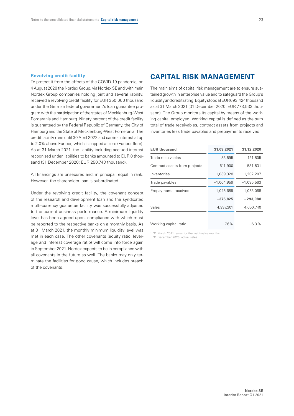#### **Revolving credit facility**

To protect it from the effects of the COVID-19 pandemic, on 4 August 2020 the Nordex Group, via Nordex SE and with main Nordex Group companies holding joint and several liability, received a revolving credit facility for EUR 350,000 thousand under the German federal government's loan guarantee program with the participation of the states of Mecklenburg-West Pomerania and Hamburg. Ninety percent of the credit facility is guaranteed by the Federal Republic of Germany, the City of Hamburg and the State of Mecklenburg-West Pomerania. The credit facility runs until 30 April 2022 and carries interest at up to 2.0% above Euribor, which is capped at zero (Euribor floor). As at 31 March 2021, the liability including accrued interest recognized under liabilities to banks amounted to EUR 0 thousand (31 December 2020: EUR 250,743 thousand).

All financings are unsecured and, in principal, equal in rank. However, the shareholder loan is subordinated.

Under the revolving credit facility, the covenant concept of the research and development loan and the syndicated multi-currency guarantee facility was successfully adjusted to the current business performance. A minimum liquidity level has been agreed upon, compliance with which must be reported to the respective banks on a monthly basis. As at 31 March 2021, the monthly minimum liquidity level was met in each case. The other covenants (equity ratio, leverage and interest coverage ratio) will come into force again in September 2021. Nordex expects to be in compliance with all covenants in the future as well. The banks may only terminate the facilities for good cause, which includes breach of the covenants.

### **CAPITAL RISK MANAGEMENT**

The main aims of capital risk management are to ensure sustained growth in enterprise value and to safeguard the Group's liquidity and credit rating. Equity stood at EUR693,424thousand as at 31 March 2021 (31 December 2020: EUR 773,533 thousand). The Group monitors its capital by means of the working capital employed. Working capital is defined as the sum total of trade receivables, contract assets from projects and inventories less trade payables and prepayments received:

| <b>EUR thousand</b>           | 31.03.2021   | 31.12.2020   |
|-------------------------------|--------------|--------------|
| Trade receivables             | 83,595       | 121,805      |
| Contract assets from projects | 611,900      | 531,531      |
| Inventories                   | 1,039,328    | 1,202,207    |
| Trade payables                | $-1,064,959$ | $-1,095,563$ |
| Prepayments received          | $-1,045,689$ | $-1,053,068$ |
|                               | $-375,825$   | $-293,088$   |
| Sales <sup>1</sup>            | 4,937,301    | 4,650,740    |
|                               |              |              |
| Working capital ratio         | $-7.6%$      | $-6.3%$      |
|                               |              |              |

31 March 2021: sales for the last twelve months,

31 December 2020: actual sales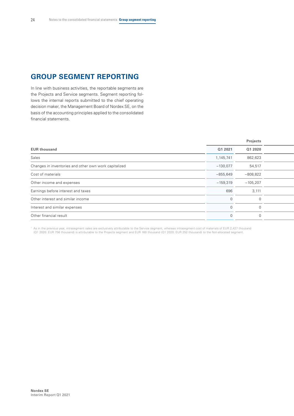# **GROUP SEGMENT REPORTING**

In line with business activities, the reportable segments are the Projects and Service segments. Segment reporting follows the internal reports submitted to the chief operating decision maker, the Management Board of Nordex SE, on the basis of the accounting principles applied to the consolidated financial statements.

|                                                       |            | Projects   |  |
|-------------------------------------------------------|------------|------------|--|
| <b>EUR thousand</b>                                   | Q1 2021    | Q1 2020    |  |
| Sales                                                 | 1,145,741  | 862,623    |  |
| Changes in inventories and other own work capitalized | $-130,077$ | 54,517     |  |
| Cost of materials                                     | $-855,649$ | $-808,822$ |  |
| Other income and expenses                             | $-159,319$ | $-105,207$ |  |
| Earnings before interest and taxes                    | 696        | 3,111      |  |
| Other interest and similar income                     | $\Omega$   | $\Omega$   |  |
| Interest and similar expenses                         | $\cap$     |            |  |
| Other financial result                                | $\Omega$   |            |  |
|                                                       |            |            |  |

As in the previous year, intrasegment sales are exclusively attributable to the Service segment, whereas intrasegment cost of materials of EUR 2,427 thousand (21 2020: EUR 1960) And the Not-allocated segment.<br>Q1 2020: EUR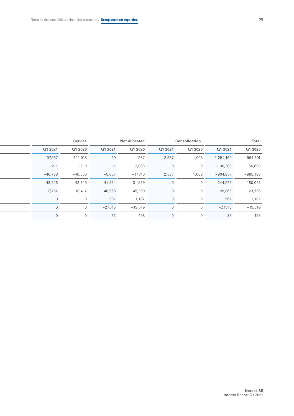|           | <b>Service</b> |           | Not allocated |          | Consolidation <sup>1</sup> |            | Total      |
|-----------|----------------|-----------|---------------|----------|----------------------------|------------|------------|
| Q1 2021   | Q1 2020        | Q1 2021   | Q1 2020       | Q1 2021  | Q1 2020                    | Q1 2021    | Q1 2020    |
| 107,967   | 102,018        | 39        | 967           | $-2,587$ | $-1,008$                   | 1,251,160  | 964,601    |
| $-211$    | $-710$         | $-1$      | 3,083         |          |                            | $-130,289$ | 56,890     |
| $-46,738$ | $-40,056$      | $-5,057$  | $-17,310$     | 2,587    | 1,008                      | $-904,857$ | $-865,180$ |
| $-43,226$ | $-42,840$      | $-41,534$ | $-31,999$     |          |                            | $-244,079$ | $-180,046$ |
| 17,792    | 18,412         | $-46,553$ | $-45,259$     |          |                            | $-28,065$  | $-23,736$  |
| $\Omega$  |                | 561       | 1,182         |          |                            | 561        | 1,182      |
| $\Omega$  | $\Omega$       | $-27,615$ | $-19,519$     |          |                            | $-27,615$  | $-19,519$  |
| $\Omega$  | $\Omega$       | $-33$     | 498           |          |                            | $-33$      | 498        |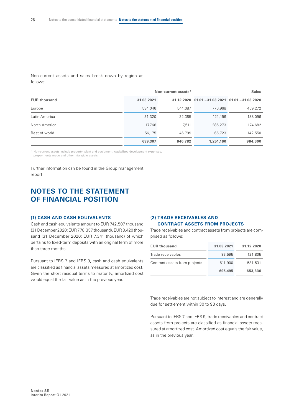Non-current assets and sales break down by region as follows:

|                     |            | Non-current assets <sup>1</sup> | <b>Sales</b>                                       |         |  |
|---------------------|------------|---------------------------------|----------------------------------------------------|---------|--|
| <b>EUR thousand</b> | 31.03.2021 |                                 | 31.12.2020 01.01. - 31.03.2021 01.01. - 31.03.2020 |         |  |
| Europe              | 534,046    | 544,087                         | 776,968                                            | 459,272 |  |
| Latin America       | 31,320     | 32,385                          | 121.196                                            | 188,096 |  |
| North America       | 17,766     | 17.511                          | 286,273                                            | 174,682 |  |
| Rest of world       | 56,175     | 46,799                          | 66,723                                             | 142,550 |  |
|                     | 639,307    | 640,782                         | 1,251,160                                          | 964,600 |  |

<sup>1</sup> Non-current assets include property, plant and equipment, capitalized development expenses,

prepayments made and other intangible assets.

Further information can be found in the Group management report.

# **NOTES TO THE STATEMENT OF FINANCIAL POSITION**

#### **(1) CASH AND CASH EQUIVALENTS**

Cash and cash equivalents amount to EUR 742,507 thousand (31 December 2020: EUR778,357 thousand), EUR8,420 thousand (31 December 2020: EUR 7,341 thousand) of which pertains to fixed-term deposits with an original term of more than three months.

Pursuant to IFRS 7 and IFRS 9, cash and cash equivalents are classified as financial assets measured at amortized cost. Given the short residual terms to maturity, amortized cost would equal the fair value as in the previous year.

#### **(2) TRADE RECEIVABLES AND CONTRACT ASSETS FROM PROJECTS**

Trade receivables and contract assets from projects are comprised as follows:

| <b>EUR thousand</b>           | 31.03.2021 | 31.12.2020 |
|-------------------------------|------------|------------|
| Trade receivables             | 83,595     | 121,805    |
| Contract assets from projects | 611,900    | 531,531    |
|                               | 695,495    | 653,336    |

Trade receivables are not subject to interest and are generally due for settlement within 30 to 90 days.

Pursuant to IFRS 7 and IFRS 9, trade receivables and contract assets from projects are classified as financial assets measured at amortized cost. Amortized cost equals the fair value, as in the previous year.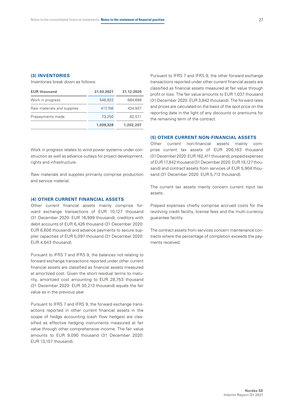#### **(3) INVENTORIES**

Inventories break down as follows:

| <b>EUR thousand</b>        | 31.03.2021 | 31.12.2020 |
|----------------------------|------------|------------|
| Work in progress           | 548.922    | 684,699    |
| Raw materials and supplies | 417,156    | 434,937    |
| Prepayments made           | 73,250     | 82,571     |
|                            | 1.039.328  | 1,202,207  |

Work in progress relates to wind power systems under construction as well as advance outlays for project development, rights and infrastructure.

Raw materials and supplies primarily comprise production and service material.

#### **(4) OTHER CURRENT FINANCIAL ASSETS**

Other current financial assets mainly comprise forward exchange transactions of EUR 10,127 thousand (31 December 2020: EUR 16,999 thousand), creditors with debit accounts of EUR 6,426 thousand (31 December 2020: EUR 6,606 thousand) and advance payments to secure supplier capacities of EUR 5,097 thousand (31 December 2020: EUR 4,643 thousand).

Pursuant to IFRS 7 and IFRS 9, the balances not relating to forward exchange transactions reported under other current financial assets are classified as financial assets measured at amortized cost. Given the short residual terms to maturity, amortized cost amounting to EUR 28,753 thousand (31 December 2020: EUR 30,213 thousand) equals the fair value as in the previous year.

Pursuant to IFRS 7 and IFRS 9, the forward exchange transactions reported in other current financial assets in the scope of hedge accounting (cash flow hedges) are classified as effective hedging instruments measured at fair value through other comprehensive income. The fair value amounts to EUR 9,090 thousand (31 December 2020: EUR 13,157 thousand).

Pursuant to IFRS 7 and IFRS 9, the other forward exchange transactions reported under other current financial assets are classified as financial assets measured at fair value through profit or loss. The fair value amounts to EUR 1,037 thousand (31 December 2020: EUR 3,842 thousand). The forward rates and prices are calculated on the basis of the spot price on the reporting date in the light of any discounts or premiums for the remaining term of the contract.

#### **(5) OTHER CURRENT NON-FINANCIAL ASSETS**

Other current non-financial assets mainly comprise current tax assets of EUR 200,163 thousand (31December 2020: EUR162,411thousand), prepaid expenses of EUR17,842 thousand (31 December 2020: EUR19,127 thousand) and contract assets from services of EUR 5,904 thousand (31 December 2020: EUR 5,712 thousand).

The current tax assets mainly concern current input tax assets.

Prepaid expenses chiefly comprise accrued costs for the revolving credit facility, license fees and the multi-currency guarantee facility.

The contract assets from services concern maintenance contracts where the percentage of completion exceeds the payments received.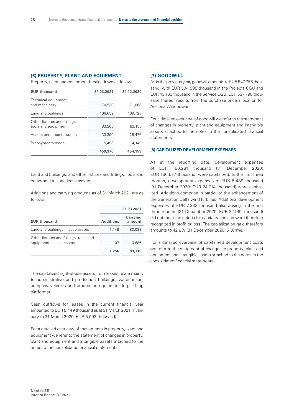#### **(6) PROPERTY, PLANT AND EQUIPMENT**

Property, plant and equipment breaks down as follows:

| 31.03.2021 | 31.12.2020 |
|------------|------------|
| 170,530    | 171.668    |
| 166,652    | 169,720    |
| 83,305     | 83,155     |
| 33,390     | 25,476     |
| 5,493      | 4.140      |
| 459,370    | 454,159    |
|            |            |

Land and buildings, and other fixtures and fittings, tools and equipment include lease assets.

Additions and carrying amounts as of 31 March 2021 are as follows:

|                                                                    |                  | 31.03.2021         |
|--------------------------------------------------------------------|------------------|--------------------|
| <b>EUR thousand</b>                                                | <b>Additions</b> | Carrying<br>amount |
| Land and buildings – lease assets                                  | 1,149            | 83,033             |
| Other fixtures and fittings, tools and<br>equipment - lease assets | 107              | 10,686             |
|                                                                    | 1,256            | 93,719             |

The capitalized right-of-use assets from leases relate mainly to administrative and production buildings, warehouses, company vehicles and production equipment (e.g. lifting platforms).

Cash outflows for leases in the current financial year amounted to EUR 5,449 thousand as at 31 March 2021 (1 January to 31 March 2020: EUR 5,093 thousand).

For a detailed overview of movements in property, plant and equipment we refer to the statement of changes in property, plant and equipment and intangible assets attached to the notes to the consolidated financial statements.

#### **(7) GOODWILL**

As in the previous year, goodwill amounts to EUR547,758 thousand, with EUR 504,595 thousand in the Projects CGU and EUR 43,163 thousand in the Service CGU. EUR 537,798 thousand thereof results from the purchase price allocation for Acciona Windpower.

For a detailed overview of goodwill we refer to the statement of changes in property, plant and equipment and intangible assets attached to the notes to the consolidated financial statements.

#### **(8) CAPITALIZED DEVELOPMENT EXPENSES**

As at the reporting date, development expenses of EUR 160,281 thousand (31 December 2020: EUR 166,677 thousand) were capitalized. In the first three months, development expenses of EUR 5,489 thousand (31 December 2020: EUR 24,714 thousand) were capitalized. Additions comprise in particular the enhancement of the Generation Delta wind turbines. Additional development expenses of EUR 7,333 thousand also arising in the first three months (31 December 2020: EUR 22,962 thousand) did not meet the criteria for capitalization and were therefore recognized in profit or loss. The capitalization ratio therefore amounts to 42.8% (31 December 2020: 51.84%).

For a detailed overview of capitalized development costs we refer to the statement of changes in property, plant and equipment and intangible assets attached to the notes to the consolidated financial statements.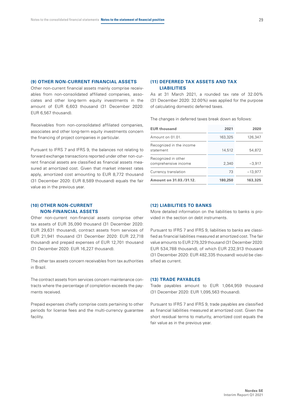#### **(9) OTHER NON-CURRENT FINANCIAL ASSETS**

Other non-current financial assets mainly comprise receivables from non-consolidated affiliated companies, associates and other long-term equity investments in the amount of EUR 6,603 thousand (31 December 2020: EUR 6,567 thousand).

Receivables from non-consolidated affiliated companies, associates and other long-term equity investments concern the financing of project companies in particular.

Pursuant to IFRS 7 and IFRS 9, the balances not relating to forward exchange transactions reported under other non-current financial assets are classified as financial assets measured at amortized cost. Given that market interest rates apply, amortized cost amounting to EUR 8,772 thousand (31 December 2020: EUR 8,589 thousand) equals the fair value as in the previous year.

#### **(10) OTHER NON-CURRENT NON-FINANCIAL ASSETS**

Other non-current non-financial assets comprise other tax assets of EUR 35,090 thousand (31 December 2020: EUR 29,631 thousand), contract assets from services of EUR 21,941 thousand (31 December 2020: EUR 22,718 thousand) and prepaid expenses of EUR 12,701 thousand (31 December 2020: EUR 16,227 thousand).

The other tax assets concern receivables from tax authorities in Brazil.

The contract assets from services concern maintenance contracts where the percentage of completion exceeds the payments received.

Prepaid expenses chiefly comprise costs pertaining to other periods for license fees and the multi-currency guarantee facility.

#### **(11) DEFERRED TAX ASSETS AND TAX LIABILITIES**

As at 31 March 2021, a rounded tax rate of 32.00% (31 December 2020: 32.00%) was applied for the purpose of calculating domestic deferred taxes.

The changes in deferred taxes break down as follows:

| <b>EUR thousand</b>                         | 2021    | 2020      |
|---------------------------------------------|---------|-----------|
| Amount on 01.01.                            | 163,325 | 126,347   |
| Recognized in the income<br>statement       | 14,512  | 54,872    |
| Recognized in other<br>comprehensive income | 2,340   | $-3.917$  |
| Currency translation                        | 73      | $-13,977$ |
| Amount on 31.03./31.12.                     | 180,250 | 163,325   |

#### **(12) LIABILITIES TO BANKS**

More detailed information on the liabilities to banks is provided in the section on debt instruments.

Pursuant to IFRS 7 and IFRS 9, liabilities to banks are classified as financial liabilities measured at amortized cost. The fair value amounts to EUR 279,329 thousand (31 December 2020: EUR 534,788 thousand), of which EUR 232,913 thousand (31 December 2020: EUR 482,335 thousand) would be classified as current.

#### **(13) TRADE PAYABLES**

Trade payables amount to EUR 1,064,959 thousand (31 December 2020: EUR 1,095,563 thousand).

Pursuant to IFRS 7 and IFRS 9, trade payables are classified as financial liabilities measured at amortized cost. Given the short residual terms to maturity, amortized cost equals the fair value as in the previous year.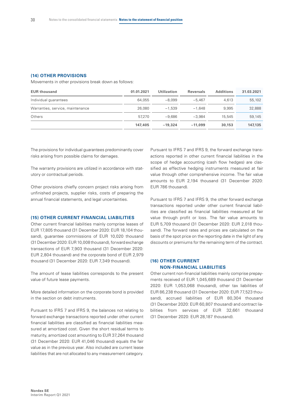#### **(14) OTHER PROVISIONS**

Movements in other provisions break down as follows:

| <b>EUR thousand</b>              | 01.01.2021 | <b>Utilization</b> | <b>Reversals</b> | <b>Additions</b> | 31.03.2021 |
|----------------------------------|------------|--------------------|------------------|------------------|------------|
| Individual guarantees            | 64.055     | $-8.099$           | $-5.467$         | 4.613            | 55,102     |
| Warranties, service, maintenance | 26,080     | $-1.539$           | $-1.648$         | 9.995            | 32,888     |
| Others                           | 57.270     | $-9.686$           | $-3.984$         | 15.545           | 59,145     |
|                                  | 147,405    | $-19.324$          | $-11.099$        | 30.153           | 147.135    |

The provisions for individual guarantees predominantly cover risks arising from possible claims for damages.

The warranty provisions are utilized in accordance with statutory or contractual periods.

Other provisions chiefly concern project risks arising from unfinished projects, supplier risks, costs of preparing the annual financial statements, and legal uncertainties.

#### **(15) OTHER CURRENT FINANCIAL LIABILITIES**

Other current financial liabilities mainly comprise leases of EUR 17,805 thousand (31 December 2020: EUR 18,104 thousand), guarantee commissions of EUR 10,020 thousand (31 December 2020: EUR10,008 thousand), forward exchange transactions of EUR 7,903 thousand (31 December 2020: EUR 2,804 thousand) and the corporate bond of EUR 2,979 thousand (31 December 2020: EUR 7,349 thousand).

The amount of lease liabilities corresponds to the present value of future lease payments.

More detailed information on the corporate bond is provided in the section on debt instruments.

Pursuant to IFRS 7 and IFRS 9, the balances not relating to forward exchange transactions reported under other current financial liabilities are classified as financial liabilities measured at amortized cost. Given the short residual terms to maturity, amortized cost amounting to EUR 37,264 thousand (31 December 2020: EUR 41,046 thousand) equals the fair value as in the previous year. Also included are current lease liabilities that are not allocated to any measurement category.

Pursuant to IFRS 7 and IFRS 9, the forward exchange transactions reported in other current financial liabilities in the scope of hedge accounting (cash flow hedges) are classified as effective hedging instruments measured at fair value through other comprehensive income. The fair value amounts to EUR 2,194 thousand (31 December 2020: EUR 786 thousand).

Pursuant to IFRS 7 and IFRS 9, the other forward exchange transactions reported under other current financial liabilities are classified as financial liabilities measured at fair value through profit or loss. The fair value amounts to EUR 5,709 thousand (31 December 2020: EUR 2,018 thousand). The forward rates and prices are calculated on the basis of the spot price on the reporting date in the light of any discounts or premiums for the remaining term of the contract.

#### **(16) OTHER CURRENT NON-FINANCIAL LIABILITIES**

Other current non-financial liabilities mainly comprise prepayments received of EUR 1,045,689 thousand (31 December 2020: EUR 1,053,068 thousand), other tax liabilities of EUR 86,238 thousand (31 December 2020: EUR 77,523 thousand), accrued liabilities of EUR 80,304 thousand (31 December 2020: EUR 60,807 thousand) and contract liabilities from services of EUR 32,661 thousand (31 December 2020: EUR 28,187 thousand).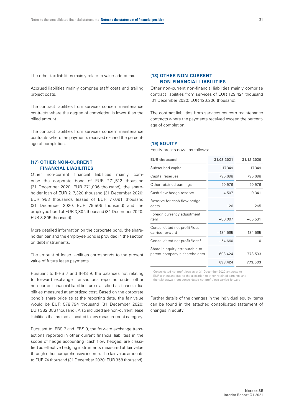The other tax liabilities mainly relate to value-added tax.

Accrued liabilities mainly comprise staff costs and trailing project costs.

The contract liabilities from services concern maintenance contracts where the degree of completion is lower than the billed amount.

The contract liabilities from services concern maintenance contracts where the payments received exceed the percentage of completion.

#### **(17) OTHER NON-CURRENT FINANCIAL LIABILITIES**

Other non-current financial liabilities mainly comprise the corporate bond of EUR 271,512 thousand (31 December 2020: EUR 271,036 thousand), the shareholder loan of EUR 217,320 thousand (31 December 2020: EUR 953 thousand), leases of EUR 77,091 thousand (31 December 2020: EUR 79,506 thousand) and the employee bond of EUR 3,805 thousand (31 December 2020: EUR 3,805 thousand).

More detailed information on the corporate bond, the shareholder loan and the employee bond is provided in the section on debt instruments.

The amount of lease liabilities corresponds to the present value of future lease payments.

Pursuant to IFRS 7 and IFRS 9, the balances not relating to forward exchange transactions reported under other non-current financial liabilities are classified as financial liabilities measured at amortized cost. Based on the corporate bond's share price as at the reporting date, the fair value would be EUR 578,794 thousand (31 December 2020: EUR 382,386 thousand). Also included are non-current lease liabilities that are not allocated to any measurement category.

Pursuant to IFRS 7 and IFRS 9, the forward exchange transactions reported in other current financial liabilities in the scope of hedge accounting (cash flow hedges) are classified as effective hedging instruments measured at fair value through other comprehensive income. The fair value amounts to EUR 74 thousand (31 December 2020: EUR 358 thousand).

#### **(18) OTHER NON-CURRENT NON-FINANCIAL LIABILITIES**

Other non-current non-financial liabilities mainly comprise contract liabilities from services of EUR 129,424 thousand (31 December 2020: EUR 126,206 thousand).

The contract liabilities from services concern maintenance contracts where the payments received exceed the percentage of completion.

#### **(19) EQUITY**

Equity breaks down as follows:

| <b>EUR thousand</b>                                              | 31.03.2021 | 31.12.2020 |
|------------------------------------------------------------------|------------|------------|
| Subscribed capital                                               | 117,349    | 117,349    |
| Capital reserves                                                 | 795,698    | 795,698    |
| Other retained earnings                                          | 50,976     | 50,976     |
| Cash flow hedge reserve                                          | 4,507      | 9,341      |
| Reserve for cash flow hedge<br>costs                             | 126        | 265        |
| Foreign currency adjustment<br>item                              | $-86,007$  | $-65,531$  |
| Consolidated net profit/loss<br>carried forward                  | $-134,565$ | $-134,565$ |
| Consolidated net profit/loss <sup>1</sup>                        | $-54,660$  | O          |
| Share in equity attributable to<br>parent company's shareholders | 693,424    | 773,533    |
|                                                                  | 693,424    | 773,533    |

1 Consolidated net profit/loss as at 31 December 2020 amounts to EUR 0 thousand due to the allocation to other retained earnings and the withdrawal from consolidated net profit/loss carried forward.

Further details of the changes in the individual equity items can be found in the attached consolidated statement of changes in equity.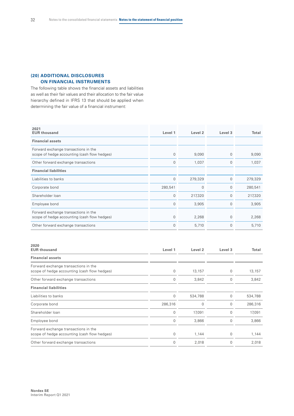#### **(20) ADDITIONAL DISCLOSURES ON FINANCIAL INSTRUMENTS**

The following table shows the financial assets and liabilities as well as their fair values and their allocation to the fair value hierarchy defined in IFRS 13 that should be applied when determining the fair value of a financial instrument:

| 2021<br><b>EUR thousand</b>                                                          | Level 1     | Level <sub>2</sub> | Level 3      | Total   |
|--------------------------------------------------------------------------------------|-------------|--------------------|--------------|---------|
| <b>Financial assets</b>                                                              |             |                    |              |         |
| Forward exchange transactions in the<br>scope of hedge accounting (cash flow hedges) | 0           | 9,090              | $\mathbf{0}$ | 9,090   |
| Other forward exchange transactions                                                  | $\mathbf 0$ | 1,037              | $\mathbf 0$  | 1,037   |
| <b>Financial liabilities</b>                                                         |             |                    |              |         |
| Liabilities to banks                                                                 | $\mathbf 0$ | 279,329            | $\mathbf 0$  | 279,329 |
| Corporate bond                                                                       | 280,541     | 0                  | 0            | 280,541 |
| Shareholder Ioan                                                                     | $\mathbf 0$ | 217,320            | $\mathbf 0$  | 217,320 |
| Employee bond                                                                        | $\mathbf 0$ | 3,905              | $\mathbf 0$  | 3,905   |
| Forward exchange transactions in the<br>scope of hedge accounting (cash flow hedges) | $\mathbf 0$ | 2,268              | $\mathbf 0$  | 2,268   |
| Other forward exchange transactions                                                  | $\mathbf 0$ | 5,710              | $\mathbf 0$  | 5,710   |

| 2020<br><b>EUR thousand</b>                                                          | Level 1     | Level <sub>2</sub> | Level 3  | Total   |
|--------------------------------------------------------------------------------------|-------------|--------------------|----------|---------|
| <b>Financial assets</b>                                                              |             |                    |          |         |
| Forward exchange transactions in the<br>scope of hedge accounting (cash flow hedges) | 0           | 13,157             | 0        | 13,157  |
| Other forward exchange transactions                                                  | 0           | 3,842              | $\Omega$ | 3,842   |
| <b>Financial liabilities</b>                                                         |             |                    |          |         |
| Liabilities to banks                                                                 | $\mathbf 0$ | 534,788            | $\Omega$ | 534,788 |
| Corporate bond                                                                       | 286,316     | $\Omega$           | $\Omega$ | 286,316 |
| Shareholder loan                                                                     | $\mathbf 0$ | 17,091             | 0        | 17,091  |
| Employee bond                                                                        | $\mathbf 0$ | 3,866              | $\Omega$ | 3,866   |
| Forward exchange transactions in the<br>scope of hedge accounting (cash flow hedges) | $\mathbf 0$ | 1,144              | 0        | 1,144   |
| Other forward exchange transactions                                                  | $\mathbf 0$ | 2,018              | 0        | 2,018   |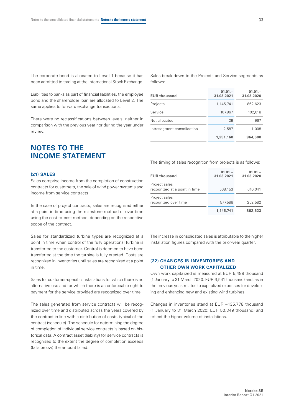The corporate bond is allocated to Level 1 because it has been admitted to trading at the International Stock Exchange.

Liabilities to banks as part of financial liabilities, the employee bond and the shareholder loan are allocated to Level 2. The same applies to forward exchange transactions.

There were no reclassifications between levels, neither in comparison with the previous year nor during the year under review.

### **NOTES TO THE INCOME STATEMENT**

#### **(21) SALES**

Sales comprise income from the completion of construction contracts for customers, the sale of wind power systems and income from service contracts.

In the case of project contracts, sales are recognized either at a point in time using the milestone method or over time using the cost-to-cost method, depending on the respective scope of the contract.

Sales for standardized turbine types are recognized at a point in time when control of the fully operational turbine is transferred to the customer. Control is deemed to have been transferred at the time the turbine is fully erected. Costs are recognized in inventories until sales are recognized at a point in time.

Sales for customer-specific installations for which there is no alternative use and for which there is an enforceable right to payment for the service provided are recognized over time.

The sales generated from service contracts will be recognized over time and distributed across the years covered by the contract in line with a distribution of costs typical of the contract (schedule). The schedule for determining the degree of completion of individual service contracts is based on historical data. A contract asset (liability) for service contracts is recognized to the extent the degree of completion exceeds (falls below) the amount billed.

Sales break down to the Projects and Service segments as follows:

| <b>EUR thousand</b>        | $01.01 -$<br>31.03.2021 | $01.01 -$<br>31.03.2020 |
|----------------------------|-------------------------|-------------------------|
| Projects                   | 1,145,741               | 862,623                 |
| Service                    | 107,967                 | 102,018                 |
| Not allocated              | 39                      | 967                     |
| Intrasegment consolidation | $-2,587$                | $-1.008$                |
|                            | 1,251,160               | 964,600                 |

The timing of sales recognition from projects is as follows:

| <b>EUR thousand</b>                            | $01.01 -$<br>31.03.2021 | $01.01 -$<br>31.03.2020 |
|------------------------------------------------|-------------------------|-------------------------|
| Project sales<br>recognized at a point in time | 568,153                 | 610,041                 |
| Project sales<br>recognized over time          | 577,588                 | 252,582                 |
|                                                | 1,145,741               | 862,623                 |

The increase in consolidated sales is attributable to the higher installation figures compared with the prior-year quarter.

#### **(22) CHANGES IN INVENTORIES AND OTHER OWN WORK CAPITALIZED**

Own work capitalized is measured at EUR 5,489 thousand (1 January to 31 March 2020: EUR 6,541 thousand) and, as in the previous year, relates to capitalized expenses for developing and enhancing new and existing wind turbines.

Changes in inventories stand at EUR –135,778 thousand (1 January to 31 March 2020: EUR 50,349 thousand) and reflect the higher volume of installations.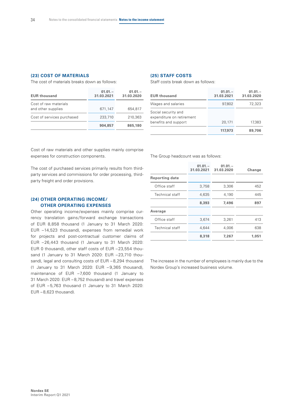#### **(23) COST OF MATERIALS**

The cost of materials breaks down as follows:

| <b>EUR thousand</b>                         | $01.01 -$<br>31.03.2021 | $01.01 -$<br>31.03.2020 |
|---------------------------------------------|-------------------------|-------------------------|
| Cost of raw materials<br>and other supplies | 671,147                 | 654,817                 |
| Cost of services purchased                  | 233,710                 | 210,363                 |
|                                             | 904,857                 | 865,180                 |

#### **(25) STAFF COSTS**

Staff costs break down as follows:

| <b>EUR thousand</b>                                                      | $01.01 -$<br>31.03.2021 | $01.01 -$<br>31.03.2020 |
|--------------------------------------------------------------------------|-------------------------|-------------------------|
| Wages and salaries                                                       | 97,802                  | 72,323                  |
| Social security and<br>expenditure on retirement<br>benefits and support | 20,171                  | 17.383                  |
|                                                                          | 117,973                 | 89,706                  |

Cost of raw materials and other supplies mainly comprise expenses for construction components.

The cost of purchased services primarily results from thirdparty services and commissions for order processing, thirdparty freight and order provisions.

#### **(24) OTHER OPERATING INCOME/ OTHER OPERATING EXPENSES**

Other operating income/expenses mainly comprise currency translation gains/forward exchange transactions of EUR 8,858 thousand (1 January to 31 March 2020: EUR –14,523 thousand), expenses from remedial work for projects and post-contractual customer claims of EUR –26,443 thousand (1 January to 31 March 2020: EUR 0 thousand), other staff costs of EUR –23,554 thousand (1 January to 31 March 2020: EUR –23,710 thousand), legal and consulting costs of EUR - 8,294 thousand (1 January to 31 March 2020: EUR – 9,365 thousand), maintenance of EUR –7,600 thousand (1 January to 31 March 2020: EUR – 8,752 thousand) and travel expenses of EUR – 5,763 thousand (1 January to 31 March 2020:  $EUR - 8.623$  thousand).

The Group headcount was as follows:

|                        | $01.01 -$<br>31.03.2021 | $01.01 -$<br>31.03.2020 | Change |
|------------------------|-------------------------|-------------------------|--------|
| Reporting date         |                         |                         |        |
| Office staff           | 3,758                   | 3,306                   | 452    |
| <b>Technical staff</b> | 4.635                   | 4,190                   | 445    |
|                        | 8,393                   | 7,496                   | 897    |
| Average                |                         |                         |        |
| Office staff           | 3,674                   | 3,261                   | 413    |
| Technical staff        | 4.644                   | 4.006                   | 638    |
|                        | 8,318                   | 7,267                   | 1.051  |

The increase in the number of employees is mainly due to the Nordex Group's increased business volume.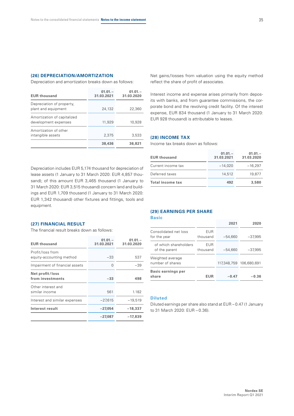#### **(26) DEPRECIATION/AMORTIZATION**

Depreciation and amortization breaks down as follows:

| <b>EUR thousand</b>                                 | $01.01 -$<br>31.03.2021 | $01.01 -$<br>31.03.2020 |
|-----------------------------------------------------|-------------------------|-------------------------|
| Depreciation of property,<br>plant and equipment    | 24,132                  | 22,360                  |
| Amortization of capitalized<br>development expenses | 11,929                  | 10,928                  |
| Amortization of other<br>intangible assets          | 2.375                   | 3,533                   |
|                                                     | 38,436                  | 36,821                  |

Net gains/losses from valuation using the equity method reflect the share of profit of associates.

Interest income and expense arises primarily from deposits with banks, and from guarantee commissions, the corporate bond and the revolving credit facility. Of the interest expense, EUR 834 thousand (1 January to 31 March 2020: EUR 928 thousand) is attributable to leases.

#### **(28) INCOME TAX**

Income tax breaks down as follows:

Depreciation includes EUR 5,174 thousand for depreciation of lease assets (1 January to 31 March 2020: EUR 4,857 thousand); of this amount EUR 3,465 thousand (1 January to 31 March 2020: EUR 3,515 thousand) concern land and buildings and EUR 1,709 thousand (1 January to 31 March 2020: EUR 1,342 thousand) other fixtures and fittings, tools and equipment.

#### **EUR thousand 01.01. – 31.03.2021 01.01. – 31.03.2020** Current income tax –14,020 –16,297 Deferred taxes 14,512 19,877 **Total income tax 492 3,580**

#### **(27) FINANCIAL RESULT**

The financial result breaks down as follows:

| <b>EUR thousand</b>                          | $01.01 -$<br>31.03.2021 | $01.01 -$<br>31.03.2020 |
|----------------------------------------------|-------------------------|-------------------------|
| Profit/loss from<br>equity-accounting method | $-33$                   | 537                     |
| Impairment of financial assets               | $\Omega$                | -39                     |
| Net profit/loss<br>from investments          | $-33$                   | 498                     |
| Other interest and<br>similar income         | 561                     | 1.182                   |
| Interest and similar expenses                | $-27.615$               | $-19,519$               |
| Interest result                              | $-27,054$               | $-18,337$               |
|                                              | -27,087                 | -17,839                 |

### **(29) EARNINGS PER SHARE**

#### **Basic**

|                                        |                        | 2021        | 2020        |  |
|----------------------------------------|------------------------|-------------|-------------|--|
| Consolidated net loss<br>for the year  | EUR<br>thousand        | $-54,660$   | $-37,995$   |  |
| of which shareholders<br>of the parent | <b>EUR</b><br>thousand | $-54,660$   | $-37,995$   |  |
| Weighted average<br>number of shares   |                        | 117,348,759 | 106,680,691 |  |
| <b>Basic earnings per</b><br>share     | <b>EUR</b>             | $-0.47$     | -0.36       |  |

#### **Diluted**

Diluted earnings per share also stand at EUR – 0.47 (1 January to 31 March 2020: EUR – 0.36).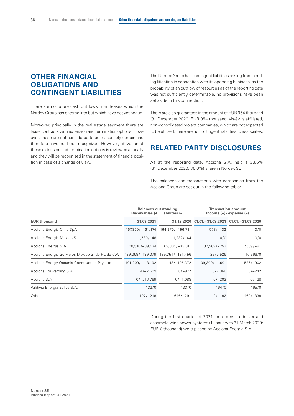# **OTHER FINANCIAL OBLIGATIONS AND CONTINGENT LIABILITIES**

There are no future cash outflows from leases which the Nordex Group has entered into but which have not yet begun.

Moreover, principally in the real estate segment there are lease contracts with extension and termination options. However, these are not considered to be reasonably certain and therefore have not been recognized. However, utilization of these extension and termination options is reviewed annually and they will be recognized in the statement of financial position in case of a change of view.

The Nordex Group has contingent liabilities arising from pending litigation in connection with its operating business; as the probability of an outflow of resources as of the reporting date was not sufficiently determinable, no provisions have been set aside in this connection.

There are also guarantees in the amount of EUR 954 thousand (31 December 2020: EUR 954 thousand) vis-à-vis affiliated, non-consolidated project companies, which are not expected to be utilized; there are no contingent liabilities to associates.

### **RELATED PARTY DISCLOSURES**

As at the reporting date, Acciona S.A. held a 33.6% (31 December 2020: 36.6%) share in Nordex SE.

The balances and transactions with companies from the Acciona Group are set out in the following table:

|                                                   | <b>Balances outstanding</b><br>Receivables $(+)$ / liabilities $(-)$ |                       | <b>Transaction amount</b><br>Income $(+)/$ expense $(-)$ |                      |  |  |
|---------------------------------------------------|----------------------------------------------------------------------|-----------------------|----------------------------------------------------------|----------------------|--|--|
| <b>EUR thousand</b>                               | 31.03.2021                                                           |                       | 31.12.2020 01.01. - 31.03.2021                           | $01.01 - 31.03.2020$ |  |  |
| Acciona Energia Chile SpA                         | 167,350/-161,174                                                     | 164,970/-156,711      | $573/-133$                                               | 0/0                  |  |  |
| Acciona Energia Mexico S.r.l.                     | $1,530/-46$                                                          | $1.232/-44$           | 0/0                                                      | 0/0                  |  |  |
| Acciona Energia S.A.                              | 100,510/-39,574                                                      | 69,304/-33,011        | $32,969/-253$                                            | 7,589/-81            |  |  |
| Acciona Energia Servicios Mexico S. de RL de C.V. | 139,369/-139,079                                                     | 139, 351 / - 131, 456 | $-29/5,526$                                              | 16,366/0             |  |  |
| Acciona Energy Oceania Construction Pty. Ltd.     | 101,209/-113,192                                                     | 48/-106,372           | $109,300/-1,901$                                         | $526/-902$           |  |  |
| Acciona Forwarding S.A.                           | $4/-2,609$                                                           | $0/-977$              | 0/2,366                                                  | $0/-242$             |  |  |
| Acciona S.A                                       | $0/-216,769$                                                         | $0/-1,088$            | $0/-202$                                                 | $0/-28$              |  |  |
| Valdivia Energia Eolica S.A.                      | 132/0                                                                | 133/0                 | 164/0                                                    | 165/0                |  |  |
| Other                                             | $107/-218$                                                           | $646/-291$            | $2/-182$                                                 | $462/-338$           |  |  |

During the first quarter of 2021, no orders to deliver and assemble wind power systems (1 January to 31 March 2020: EUR 0 thousand) were placed by Acciona Energía S.A.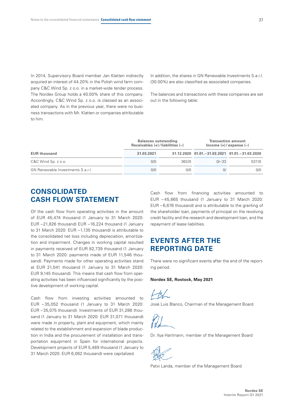In 2014, Supervisory Board member Jan Klatten indirectly acquired an interest of 44.20% in the Polish wind farm company C&C Wind Sp. z o.o. in a market-wide tender process. The Nordex Group holds a 40.00% share of this company. Accordingly, C&C Wind Sp. z o.o. is classed as an associated company. As in the previous year, there were no business transactions with Mr. Klatten or companies attributable to him.

In addition, the shares in GN Renewable Investments S.a.r.l. (30.00%) are also classified as associated companies.

The balances and transactions with these companies are set out in the following table:

|                                   | <b>Balances outstanding</b><br>Receivables $(+)$ / liabilities $(-)$ |       | <b>Transaction amount</b><br>$lncome (+)/expense (-)$ |                                                    |  |
|-----------------------------------|----------------------------------------------------------------------|-------|-------------------------------------------------------|----------------------------------------------------|--|
| <b>EUR thousand</b>               | 31.03.2021                                                           |       |                                                       | 31.12.2020 01.01. - 31.03.2021 01.01. - 31.03.2020 |  |
| $C&C$ Wind Sp. $z$ o.o.           | 0/0                                                                  | 363/0 | $0/-33$                                               | 537/0                                              |  |
| GN Renewable Investments S.a.r.l. | 0/0                                                                  | 0/0   | 0/                                                    | 0/0                                                |  |

### **CONSOLIDATED CASH FLOW STATEMENT**

Of the cash flow from operating activities in the amount of EUR 45,474 thousand (1 January to 31 March 2020: EUR –21,826 thousand) EUR –16,224 thousand (1 January to 31 March 2020: EUR –1,135 thousand) is attributable to the consolidated net loss including depreciation, amortization and impairment. Changes in working capital resulted in payments received of EUR 82,739 thousand (1 January to 31 March 2020: payments made of EUR 11,546 thousand). Payments made for other operating activities stand at EUR 21,041 thousand (1 January to 31 March 2020: EUR 9,145 thousand). This means that cash flow from operating activities has been influenced significantly by the positive development of working capital.

Cash flow from investing activities amounted to EUR – 35,052 thousand (1 January to 31 March 2020: EUR – 35,075 thousand). Investments of EUR 31,286 thousand (1 January to 31 March 2020: EUR 31,071 thousand) were made in property, plant and equipment, which mainly related to the establishment and expansion of blade production in India and the procurement of installation and transportation equipment in Spain for international projects. Development projects of EUR 5,489 thousand (1 January to 31 March 2020: EUR 6,062 thousand) were capitalized.

Cash flow from financing activities amounted to EUR – 45,865 thousand (1 January to 31 March 2020: EUR – 6,676 thousand) and is attributable to the granting of the shareholder loan, payments of principal on the revolving credit facility and the research and development loan, and the repayment of lease liabilities.

# **EVENTS AFTER THE REPORTING DATE**

There were no significant events after the end of the reporting period.

#### **Nordex SE, Rostock, May 2021**

 $H_{\rm X}$ 

José Luis Blanco, Chairman of the Management Board

Dr. Ilya Hartmann, member of the Management Board



Patxi Landa, member of the Management Board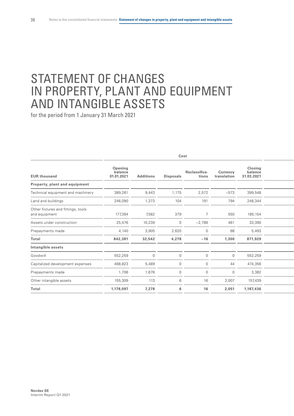# STATEMENT OF CHANGES IN PROPERTY, PLANT AND EQUIPMENT AND INTANGIBLE ASSETS

| Cost                                                |                                  |                  |              |                        |                                |                                  |
|-----------------------------------------------------|----------------------------------|------------------|--------------|------------------------|--------------------------------|----------------------------------|
| <b>EUR thousand</b>                                 | Opening<br>balance<br>01.01.2021 | <b>Additions</b> | Disposals    | Reclassifica-<br>tions | <b>Currency</b><br>translation | Closing<br>balance<br>31.03.2021 |
| Property, plant and equipment                       |                                  |                  |              |                        |                                |                                  |
| Technical equipment and machinery                   | 389,281                          | 9,443            | 1,175        | 2,572                  | $-573$                         | 399,548                          |
| Land and buildings                                  | 246,090                          | 1,373            | 104          | 191                    | 794                            | 248,344                          |
| Other fixtures and fittings, tools<br>and equipment | 177,394                          | 7,582            | 379          | $\overline{7}$         | 550                            | 185,154                          |
| Assets under construction                           | 25,476                           | 10,239           | $\mathbf{0}$ | $-2,786$               | 461                            | 33,390                           |
| Prepayments made                                    | 4,140                            | 3,905            | 2,620        | $\overline{0}$         | 68                             | 5,493                            |
| Total                                               | 842,381                          | 32,542           | 4,278        | $-16$                  | 1,300                          | 871,929                          |
| Intangible assets                                   |                                  |                  |              |                        |                                |                                  |
| Goodwill                                            | 552,259                          | $\overline{0}$   | $\cap$       | $\Omega$               | $\Omega$                       | 552,259                          |
| Capitalized development expenses                    | 468,823                          | 5,489            | 0            | $\Omega$               | 44                             | 474,356                          |
| Prepayments made                                    | 1,706                            | 1,676            | $\mathbf 0$  | $\mathbf 0$            | $\mathbf 0$                    | 3,382                            |
| Other intangible assets                             | 155,309                          | 113              | 6            | 16                     | 2,007                          | 157,439                          |
| Total                                               | 1,178,097                        | 7,278            | 6            | 16                     | 2,051                          | 1,187,436                        |
|                                                     |                                  |                  |              |                        |                                |                                  |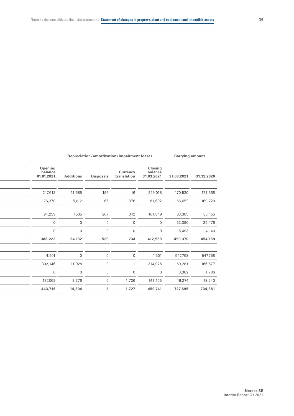| Depreciation/amortization/impairment losses |                  |                  | <b>Carrying amount</b>  |                                  |            |            |
|---------------------------------------------|------------------|------------------|-------------------------|----------------------------------|------------|------------|
| Opening<br>balance<br>01.01.2021            | <b>Additions</b> | <b>Disposals</b> | Currency<br>translation | Closing<br>balance<br>31.03.2021 | 31.03.2021 | 31.12.2020 |
|                                             |                  |                  |                         |                                  |            |            |
| 217,613                                     | 11,585           | 196              | 16                      | 229,018                          | 170,530    | 171,668    |
| 76,370                                      | 5,012            | 66               | 376                     | 81,692                           | 166,652    | 169,720    |
| 94,239                                      | 7,535            | 267              | 342                     | 101,849                          | 83,305     | 83,155     |
| $\overline{0}$                              | $\overline{0}$   | $\overline{0}$   | $\overline{0}$          | $\overline{0}$                   | 33,390     | 25,476     |
| $\overline{0}$                              | 0                | $\overline{0}$   | $\overline{0}$          | $\overline{0}$                   | 5,493      | 4,140      |
| 388,222                                     | 24,132           | 529              | 734                     | 412,559                          | 459,370    | 454,159    |
|                                             |                  |                  |                         |                                  |            |            |
| 4,501                                       | $\mathbf{0}$     | $\overline{0}$   | $\cap$                  | 4,501                            | 547,758    | 547,758    |
| 302,146                                     | 11,928           | $\overline{0}$   |                         | 314,075                          | 160,281    | 166,677    |
| $\overline{0}$                              | $\overline{0}$   | $\overline{0}$   | $\overline{0}$          | $\overline{0}$                   | 3,382      | 1,706      |
| 137,069                                     | 2,376            | 6                | 1,726                   | 141,165                          | 16,274     | 18,240     |
| 443,716                                     | 14,304           | 6                | 1,727                   | 459,741                          | 727,695    | 734,381    |
|                                             |                  |                  |                         |                                  |            |            |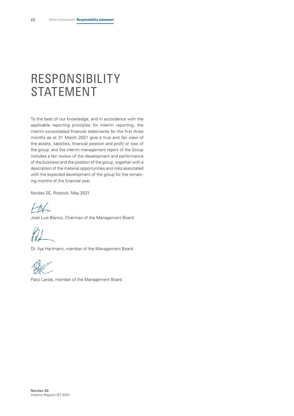# <span id="page-41-0"></span>RESPONSIBILITY STATEMENT

To the best of our knowledge, and in accordance with the applicable reporting principles for interim reporting, the interim consolidated financial statements for the first three months as at 31 March 2021 give a true and fair view of the assets, liabilities, financial position and profit or loss of the group, and the interim management report of the Group includes a fair review of the development and performance of the business and the position of the group, together with a description of the material opportunities and risks associated with the expected development of the group for the remaining months of the financial year.

Nordex SE, Rostock, May 2021

 $H_{\textrm{K}}$ 

José Luis Blanco, Chairman of the Management Board

Dr. Ilya Hartmann, member of the Management Board

Patxi Landa, member of the Management Board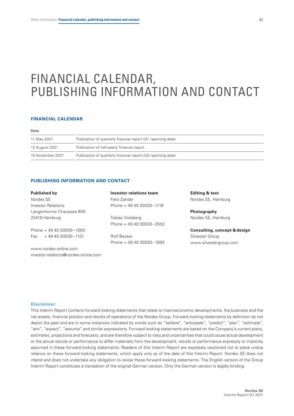# <span id="page-42-0"></span>FINANCIAL CALENDAR, PUBLISHING INFORMATION AND CONTACT

#### **FINANCIAL CALENDAR**

#### **Date**

| 11 May 2021      | Publication of quarterly financial report (Q1 reporting date) |
|------------------|---------------------------------------------------------------|
| 12 August 2021   | Publication of half-yearly financial report                   |
| 15 November 2021 | Publication of quarterly financial report (Q3 reporting date) |

#### **PUBLISHING INFORMATION AND CONTACT**

| Published by                         | Investor relations team | <b>Editing &amp; text</b>               |
|--------------------------------------|-------------------------|-----------------------------------------|
| Nordex SE                            | Felix Zander            | Nordex SE, Hamburg                      |
| <b>Investor Relations</b>            | Phone $+494030030-1116$ |                                         |
| Langenhorner Chaussee 600            |                         | Photography                             |
| 22419 Hamburg                        | Tobias Vossberg         | Nordex SE, Hamburg                      |
|                                      | Phone $+494030030-2502$ |                                         |
| Phone $+494030030-1000$              |                         | <b>Consulting, concept &amp; design</b> |
| $Fax + 494030030 - 1101$             | Rolf Becker             | Silvester Group                         |
|                                      | Phone $+494030030-1892$ | www.silvestergroup.com                  |
| www.nordex-online.com                |                         |                                         |
| investor-relations@nordex-online.com |                         |                                         |

#### **Disclaimer:**

This Interim Report contains forward-looking statements that relate to macroeconomic developments, the business and the net assets, financial position and results of operations of the Nordex Group. Forward-looking statements by definition do not depict the past and are in some instances indicated by words such as "believe", "anticipate", "predict", "plan", "estimate", "aim", "expect", "assume" and similar expressions. Forward-looking statements are based on the Company's current plans, estimates, projections and forecasts, and are therefore subject to risks and uncertainties that could cause actual development or the actual results or performance to differ materially from the development, results or performance expressly or implicitly assumed in these forward-looking statements. Readers of this Interim Report are expressly cautioned not to place undue reliance on these forward-looking statements, which apply only as of the date of this Interim Report. Nordex SE does not intend and does not undertake any obligation to revise these forward-looking statements. The English version of the Group Interim Report constitutes a translation of the original German version. Only the German version is legally binding.